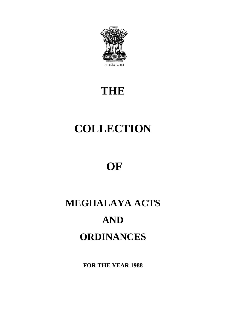

# **THE**

# **COLLECTION**

# **OF**

# **MEGHALAYA ACTS AND ORDINANCES**

**FOR THE YEAR 1988**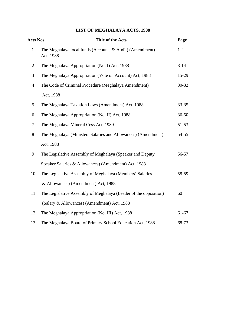## **LIST OF MEGHALAYA ACTS, 1988**

| Acts Nos.      | <b>Title of the Acts</b>                                              | Page      |
|----------------|-----------------------------------------------------------------------|-----------|
| $\mathbf{1}$   | The Meghalaya local funds (Accounts & Audit) (Amendment)<br>Act, 1988 | $1 - 2$   |
| $\overline{2}$ | The Meghalaya Appropriation (No. I) Act, 1988                         | $3 - 14$  |
| 3              | The Meghalaya Appropriation (Vote on Account) Act, 1988               | $15-29$   |
| $\overline{4}$ | The Code of Criminal Procedure (Meghalaya Amendment)                  | $30 - 32$ |
|                | Act, 1988                                                             |           |
| 5              | The Meghalaya Taxation Laws (Amendment) Act, 1988                     | $33 - 35$ |
| 6              | The Meghalaya Appropriation (No. II) Act, 1988                        | $36 - 50$ |
| $\tau$         | The Meghalaya Mineral Cess Act, 1989                                  | $51-53$   |
| 8              | The Meghalaya (Ministers Salaries and Allowances) (Amendment)         | 54-55     |
|                | Act, 1988                                                             |           |
| 9              | The Legislative Assembly of Meghalaya (Speaker and Deputy             | 56-57     |
|                | Speaker Salaries & Allowances) (Amendment) Act, 1988                  |           |
| 10             | The Legislative Assembly of Meghalaya (Members' Salaries              | 58-59     |
|                | & Allowances) (Amendment) Act, 1988                                   |           |
| 11             | The Legislative Assembly of Meghalaya (Leader of the opposition)      | 60        |
|                | (Salary & Allowances) (Amendment) Act, 1988                           |           |
| 12             | The Meghalaya Appropriation (No. III) Act, 1988                       | $61-67$   |
| 13             | The Meghalaya Board of Primary School Education Act, 1988             | 68-73     |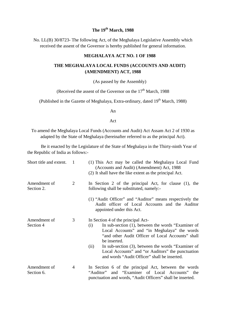#### **The 19th March, 1988**

No. LL(B) 30/8723- The following Act, of the Meghalaya Legislative Assembly which received the assent of the Governor is hereby published for general information.

#### **MEGHALAYA ACT NO. 1 OF 1988**

#### **THE MEGHALAYA LOCAL FUNDS (ACCOUNTS AND AUDIT) (AMENDMENT) ACT, 1988**

(As passed by the Assembly)

(Received the assent of the Governor on the  $17<sup>th</sup>$  March, 1988)

(Published in the Gazette of Meghalaya, Extra-ordinary, dated 19<sup>th</sup> March, 1988)

An

Act

To amend the Meghalaya Local Funds (Accounts and Audit) Act Assam Act 2 of 1930 as adapted by the State of Meghalaya (hereinafter referred to as the principal Act).

Be it enacted by the Legislature of the State of Meghalaya in the Thirty-ninth Year of the Republic of India as follows:-

| Short title and extent.    | 1 | (1) This Act may be called the Meghalaya Local Fund<br>(Accounts and Audit) (Amendment) Act, 1988<br>(2) It shall have the like extent as the principal Act.                                                                                                                                                                                                                            |
|----------------------------|---|-----------------------------------------------------------------------------------------------------------------------------------------------------------------------------------------------------------------------------------------------------------------------------------------------------------------------------------------------------------------------------------------|
| Amendment of<br>Section 2. | 2 | In Section 2 of the principal Act, for clause (1), the<br>following shall be substituted, namely:-                                                                                                                                                                                                                                                                                      |
|                            |   | (1) "Audit Officer" and "Auditor" means respectively the<br>Audit officer of Local Accounts and the Auditor<br>appointed under this Act.                                                                                                                                                                                                                                                |
| Amendment of<br>Section 4  | 3 | In Section 4 of the principal Act-<br>In sub-section (1), between the words "Examiner of<br>(i)<br>Local Accounts" and "in Meghalaya" the words<br>"and other Audit Officer of Local Accounts" shall<br>be inserted.<br>In sub-section (3), between the words "Examiner of<br>(ii)<br>Local Accounts" and "or Auditors" the punctuation<br>and words "Audit Officer" shall be inserted. |
| Amendment of<br>Section 6. | 4 | In Section 6 of the principal Act, between the words<br>and "Examiner of Local Accounts" the<br>"Auditor"<br>punctuation and words, "Audit Officers" shall be inserted.                                                                                                                                                                                                                 |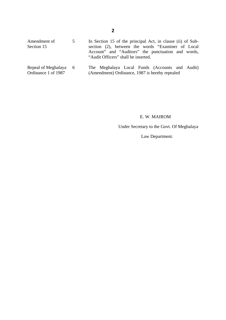| Amendment of<br>Section 15                   | $\mathcal{D}$ | In Section 15 of the principal Act, in clause (ii) of Sub-<br>section (2), between the words "Examiner of Local"<br>Account" and "Auditors" the punctuation and words,<br>"Audit Officers" shall be inserted. |
|----------------------------------------------|---------------|---------------------------------------------------------------------------------------------------------------------------------------------------------------------------------------------------------------|
| Repeal of Meghalaya 6<br>Ordinance 1 of 1987 |               | The Meghalaya Local Funds (Accounts and Audit)<br>(Amendment) Ordinance, 1987 is hereby repealed                                                                                                              |

#### E. W. MAIROM

Under Secretary to the Govt. Of Meghalaya

Law Department.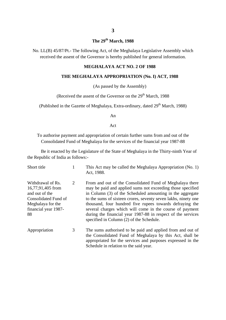#### **The 29th March, 1988**

No. LL(B) 45/87/Pt.- The following Act, of the Meghalaya Legislative Assembly which received the assent of the Governor is hereby published for general information.

#### **MEGHALAYA ACT NO. 2 OF 1988**

#### **THE MEGHALAYA APPROPRIATION (No. I) ACT, 1988**

(As passed by the Assembly)

(Received the assent of the Governor on the  $29<sup>th</sup>$  March, 1988)

(Published in the Gazette of Meghalaya, Extra-ordinary, dated  $29<sup>th</sup>$  March, 1988)

An

Act

To authorise payment and appropriation of certain further sums from and out of the Consolidated Fund of Meghalaya for the services of the financial year 1987-88

Be it enacted by the Legislature of the State of Meghalaya in the Thirty-ninth Year of the Republic of India as follows:-

| Short title                                                                                                                         | 1 | This Act may be called the Meghalaya Appropriation (No. 1)<br>Act, 1988.                                                                                                                                                                                                                                                                                                                                                                                                                  |
|-------------------------------------------------------------------------------------------------------------------------------------|---|-------------------------------------------------------------------------------------------------------------------------------------------------------------------------------------------------------------------------------------------------------------------------------------------------------------------------------------------------------------------------------------------------------------------------------------------------------------------------------------------|
| Withdrawal of Rs.<br>16,77,91,405 from<br>and out of the<br>Consolidated Fund of<br>Meghalaya for the<br>financial year 1987-<br>88 | 2 | From and out of the Consolidated Fund of Meghalaya there<br>may be paid and applied sums not exceeding those specified<br>in Column (3) of the Scheduled amounting in the aggregate<br>to the sums of sixteen crores, seventy seven lakhs, ninety one<br>thousand, four hundred five rupees towards defraying the<br>several charges which will come in the course of payment<br>during the financial year 1987-88 in respect of the services<br>specified in Column (2) of the Schedule. |
| Appropriation                                                                                                                       | 3 | The sums authorised to be paid and applied from and out of<br>the Consolidated Fund of Meghalaya by this Act, shall be<br>appropriated for the services and purposes expressed in the<br>Schedule in relation to the said year.                                                                                                                                                                                                                                                           |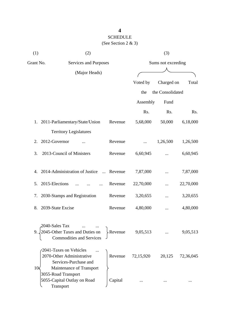## SCHEDULE (See Section 2 & 3)

| (1)             | (2)                                                                                                      |                    |           | (3)              |           |
|-----------------|----------------------------------------------------------------------------------------------------------|--------------------|-----------|------------------|-----------|
| Grant No.       | Services and Purposes                                                                                    | Sums not exceeding |           |                  |           |
|                 | (Major Heads)                                                                                            |                    |           |                  |           |
|                 |                                                                                                          |                    | Voted by  | Charged on       | Total     |
|                 |                                                                                                          |                    | the       | the Consolidated |           |
|                 |                                                                                                          |                    | Assembly  | Fund             |           |
|                 |                                                                                                          |                    | Rs.       | Rs.              | Rs.       |
|                 | 1. 2011-Parliamentary/State/Union                                                                        | Revenue            | 5,68,000  | 50,000           | 6,18,000  |
|                 | <b>Territory Legislatures</b>                                                                            |                    |           |                  |           |
| 2.              | 2012-Governor                                                                                            | Revenue            |           | 1,26,500         | 1,26,500  |
| 3.              | 2013-Council of Ministers                                                                                | Revenue            | 6,60,945  |                  | 6,60,945  |
|                 | 4. 2014-Administration of Justice                                                                        | Revenue            | 7,87,000  |                  | 7,87,000  |
| 5.              | 2015-Elections                                                                                           | Revenue            | 22,70,000 |                  | 22,70,000 |
| 7.              | 2030-Stamps and Registration                                                                             | Revenue            | 3,20,655  |                  | 3,20,655  |
| 8.              | 2039-State Excise                                                                                        | Revenue            | 4,80,000  |                  | 4,80,000  |
|                 | 2040-Sales Tax<br>2045-Other Taxes and Duties on<br><b>Commodities and Services</b>                      | <b>Revenue</b>     | 9,05,513  |                  | 9,05,513  |
| 10 <sub>5</sub> | 2041-Taxes on Vehicles<br>2070-Other Administrative<br>Services-Purchase and<br>Maintenance of Transport | Revenue            | 72,15,920 | 20,125           | 72,36,045 |
|                 | 3055-Road Transport<br>5055-Capital Outlay on Road<br>Transport                                          | Capital            |           |                  |           |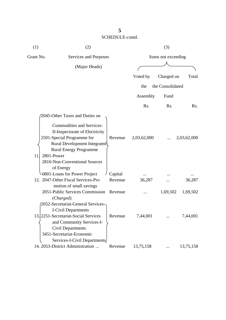| (1)       | (2)                                                                                                                                                                                                               |         |             | (3)                |             |
|-----------|-------------------------------------------------------------------------------------------------------------------------------------------------------------------------------------------------------------------|---------|-------------|--------------------|-------------|
| Grant No. | Services and Purposes                                                                                                                                                                                             |         |             | Sums not exceeding |             |
|           | (Major Heads)                                                                                                                                                                                                     |         |             |                    |             |
|           |                                                                                                                                                                                                                   |         | Voted by    | Charged on         | Total       |
|           |                                                                                                                                                                                                                   |         | the         | the Consolidated   |             |
|           |                                                                                                                                                                                                                   |         | Assembly    | Fund               |             |
|           |                                                                                                                                                                                                                   |         | Rs.         | Rs.                | Rs.         |
|           | 2045-Other Taxes and Duties on                                                                                                                                                                                    |         |             |                    |             |
| 11        | <b>Commodities and Services-</b><br>II-Inspectorate of Electricity<br>2501-Special Programme for<br>Rural Development Integrated\<br><b>Rural Energy Programme</b><br>2801-Power<br>2810-Non-Conventional Sources | Revenue | 2,03,62,000 |                    | 2,03,62,000 |
|           | of Energy<br>6801-Loans for Power Project                                                                                                                                                                         | Capital |             |                    |             |
|           | 12. 2047-Other Fiscal Services-Pro                                                                                                                                                                                | Revenue | 36,287      |                    | 36,287      |
|           | motion of small savings<br>2051-Public Services Commission<br>(Charged).                                                                                                                                          | Revenue |             | 1,69,502           | 1,69,502    |
|           | 2052-Secretariat-General Services-<br><b>I-Civil Departments</b><br>13. 2251 - Secretariat - Social Services<br>and Community Services-I-<br><b>Civil Departments</b>                                             | Revenue | 7,44,001    |                    | 7,44,001    |
|           | 3451-Secretariat-Economic<br>Services-I-Civil Departments<br>14. 2053-District Administration                                                                                                                     | Revenue | 13,75,158   |                    | 13,75,158   |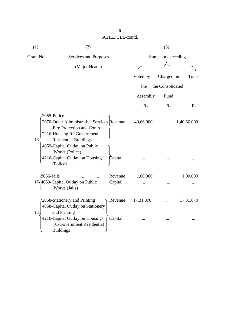| (1)                         | (2)                                                                                                                                                                                                                                       |                    |             | (3)                |             |
|-----------------------------|-------------------------------------------------------------------------------------------------------------------------------------------------------------------------------------------------------------------------------------------|--------------------|-------------|--------------------|-------------|
| Grant No.                   | Services and Purposes                                                                                                                                                                                                                     |                    |             | Sums not exceeding |             |
|                             | (Major Heads)                                                                                                                                                                                                                             |                    |             |                    |             |
|                             |                                                                                                                                                                                                                                           |                    | Voted by    | Charged on         | Total       |
|                             |                                                                                                                                                                                                                                           |                    | the         | the Consolidated   |             |
|                             |                                                                                                                                                                                                                                           |                    | Assembly    | Fund               |             |
|                             |                                                                                                                                                                                                                                           |                    | Rs.         | Rs.                | Rs.         |
| 2055-Police<br>$16\sqrt{ }$ | 2070-Other Administrative Services Revenue<br>-Fire Protection and Control<br>2216-Housing-01-Government<br><b>Residential Buildings</b><br>4059-Capital Outlay on Public<br>Works (Police)<br>4216-Capital Outlay on Housing<br>(Police) | Capital            | 1,40,66,000 |                    | 1,40,66,000 |
| $\sqrt{2056}$ -Jails        | 17,4059-Capital Outlay on Public<br>Works (Jails)                                                                                                                                                                                         | Revenue<br>Capital | 1,00,000    |                    | 1,00,000    |
| 18.                         | 2058-Stationery and Printing<br>4058-Capital Outlay on Stationery<br>and Printing                                                                                                                                                         | Revenue            | 17,31,870   |                    | 17,31,870   |
|                             | 4216-Capital Outlay on Housing-<br>01-Government Residential<br><b>Buildings</b>                                                                                                                                                          | Capital            |             |                    |             |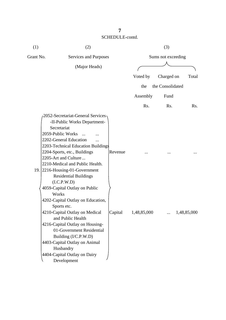| (1)       | (2)                                                                                                                                                                                                                                                                                                                                                                                                                                                    |         |                  | (3)                |             |
|-----------|--------------------------------------------------------------------------------------------------------------------------------------------------------------------------------------------------------------------------------------------------------------------------------------------------------------------------------------------------------------------------------------------------------------------------------------------------------|---------|------------------|--------------------|-------------|
| Grant No. | Services and Purposes                                                                                                                                                                                                                                                                                                                                                                                                                                  |         |                  | Sums not exceeding |             |
|           | (Major Heads)                                                                                                                                                                                                                                                                                                                                                                                                                                          |         |                  |                    |             |
|           |                                                                                                                                                                                                                                                                                                                                                                                                                                                        |         |                  |                    |             |
|           |                                                                                                                                                                                                                                                                                                                                                                                                                                                        |         | Voted by         | Charged on         | Total       |
|           |                                                                                                                                                                                                                                                                                                                                                                                                                                                        |         | the              | the Consolidated   |             |
|           |                                                                                                                                                                                                                                                                                                                                                                                                                                                        |         | Assembly         | Fund               |             |
|           |                                                                                                                                                                                                                                                                                                                                                                                                                                                        |         | R <sub>s</sub> . | Rs.                | Rs.         |
|           | <b>2052-Secretariat-General Services</b><br>-II-Public Works Department-<br>Secretariat<br>2059-Public Works<br>2202-General Education<br>2203-Technical Education Buildings<br>2204-Sports, etc., Buildings<br>2205-Art and Culture<br>2210-Medical and Public Health.<br>19. 2216-Housing-01-Government<br><b>Residential Buildings</b><br>(I.C.P.W.D)<br>4059-Capital Outlay on Public<br>Works<br>4202-Capital Outlay on Education,<br>Sports etc. | Revenue |                  |                    |             |
|           | 4210-Capital Outlay on Medical<br>and Public Health<br>4216-Capital Outlay on Housing-<br>01-Government Residential<br>Building (I/C.P.W.D)<br>4403-Capital Outlay on Animal<br>Husbandry<br>4404-Capital Outlay on Dairy<br>Development                                                                                                                                                                                                               | Capital | 1,48,85,000      |                    | 1,48,85,000 |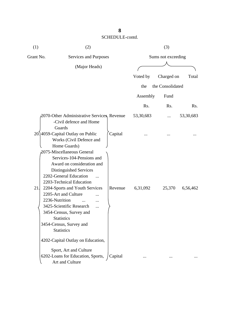| (1)       | (2)                                                                                                                                                                                                                                                              |         |           | (3)                |           |
|-----------|------------------------------------------------------------------------------------------------------------------------------------------------------------------------------------------------------------------------------------------------------------------|---------|-----------|--------------------|-----------|
| Grant No. | Services and Purposes                                                                                                                                                                                                                                            |         |           | Sums not exceeding |           |
|           | (Major Heads)                                                                                                                                                                                                                                                    |         |           |                    |           |
|           |                                                                                                                                                                                                                                                                  |         | Voted by  | Charged on         | Total     |
|           |                                                                                                                                                                                                                                                                  |         | the       | the Consolidated   |           |
|           |                                                                                                                                                                                                                                                                  |         | Assembly  | Fund               |           |
|           |                                                                                                                                                                                                                                                                  |         | Rs.       | Rs.                | Rs.       |
|           | 2070-Other Administrative Services, Revenue<br>-Civil defence and Home                                                                                                                                                                                           |         | 53,30,683 | $\cdots$           | 53,30,683 |
|           | Guards<br>20.]4059-Capital Outlay on Public<br>Works (Civil Defence and<br>Home Guards)<br>2075-Miscellaneous General<br>Services-104-Pensions and<br>Award on consideration and<br>Distinguished Services<br>2202-General Education<br>2203-Technical Education | Capital |           |                    |           |
| 21.       | 2204-Sports and Youth Services<br>2205-Art and Culture<br>2236-Nutrition<br><br>3425-Scientific Research<br><br>3454-Census, Survey and<br><b>Statistics</b><br>3454-Census, Survey and<br><b>Statistics</b>                                                     | Revenue | 6,31,092  | 25,370             | 6,56,462  |
|           | 4202-Capital Outlay on Education,                                                                                                                                                                                                                                |         |           |                    |           |
|           | Sport, Art and Culture<br>6202-Loans for Education, Sports,<br>Art and Culture                                                                                                                                                                                   | Capital |           |                    |           |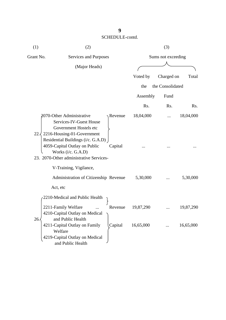| (1)       | (2)                                                                                                                                                |         |           | (3)                |           |  |
|-----------|----------------------------------------------------------------------------------------------------------------------------------------------------|---------|-----------|--------------------|-----------|--|
| Grant No. | Services and Purposes                                                                                                                              |         |           | Sums not exceeding |           |  |
|           | (Major Heads)                                                                                                                                      |         |           |                    |           |  |
|           |                                                                                                                                                    |         | Voted by  | Charged on         | Total     |  |
|           |                                                                                                                                                    |         | the       | the Consolidated   |           |  |
|           |                                                                                                                                                    |         | Assembly  | Fund               |           |  |
|           |                                                                                                                                                    |         | Rs.       | Rs.                | Rs.       |  |
| 22.3      | 2070-Other Administrative<br>Services-IV-Guest House<br>Government Hostels etc<br>2216-Housing-01-Government<br>Residential Buildings (i/c. G.A.D) | Revenue | 18,04,000 |                    | 18,04,000 |  |
|           | 4059-Capital Outlay on Public<br>Works (i/c. G.A.D)<br>23. 2070-Other administrative Services-<br>V-Training, Vigilance,                           | Capital |           |                    |           |  |
|           | Administration of Citizenship Revenue<br>Act, etc                                                                                                  |         | 5,30,000  |                    | 5,30,000  |  |
|           | 2210-Medical and Public Health                                                                                                                     |         |           |                    |           |  |
| 26.       | 2211-Family Welfare<br>4210-Capital Outlay on Medical<br>and Public Health                                                                         | Revenue | 19,87,290 |                    | 19,87,290 |  |
|           | 4211-Capital Outlay on Family<br>Welfare<br>4219-Capital Outlay on Medical<br>and Public Health                                                    | Capital | 16,65,000 |                    | 16,65,000 |  |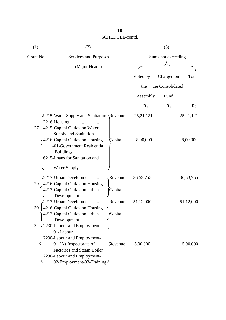| (1)       | (2)                                                                                                                                                                                                   |         |             | (3)                |             |
|-----------|-------------------------------------------------------------------------------------------------------------------------------------------------------------------------------------------------------|---------|-------------|--------------------|-------------|
| Grant No. | Services and Purposes                                                                                                                                                                                 |         |             | Sums not exceeding |             |
|           | (Major Heads)                                                                                                                                                                                         |         |             |                    |             |
|           |                                                                                                                                                                                                       |         | Voted by    | Charged on         | Total       |
|           |                                                                                                                                                                                                       |         | the         | the Consolidated   |             |
|           |                                                                                                                                                                                                       |         | Assembly    | Fund               |             |
|           |                                                                                                                                                                                                       |         | Rs.         | Rs.                | Rs.         |
| 27.       | 2215-Water Supply and Sanitation Revenue<br>2216-Housing<br>4215-Capital Outlay on Water<br><b>Supply and Sanitation</b>                                                                              |         | 25, 21, 121 |                    | 25, 21, 121 |
|           | 4216-Capital Outlay on Housing<br>-01-Government Residential<br><b>Buildings</b><br>6215-Loans for Sanitation and<br><b>Water Supply</b>                                                              | Capital | 8,00,000    |                    | 8,00,000    |
|           | 2217-Urban Development<br>$\dddotsc$                                                                                                                                                                  | Revenue | 36, 53, 755 |                    | 36, 53, 755 |
| 29.       | 4216-Capital Outlay on Housing<br>4217-Capital Outlay on Urban                                                                                                                                        | Capital |             |                    |             |
|           | Development<br>2217-Urban Development<br>$\ddots$                                                                                                                                                     | Revenue | 51,12,000   |                    | 51,12,000   |
| 30.       | 4216-Capital Outlay on Housing<br>4217-Capital Outlay on Urban<br>Development                                                                                                                         | Capital |             |                    |             |
| 32.1      | 2230-Labour and Employment-<br>01-Labour<br>2230-Labour and Employment-<br>$01-(A)$ -Inspectorate of<br><b>Factories and Steam Boiler</b><br>2230-Labour and Employment-<br>02-Employment-03-Training | Revenue | 5,00,000    |                    | 5,00,000    |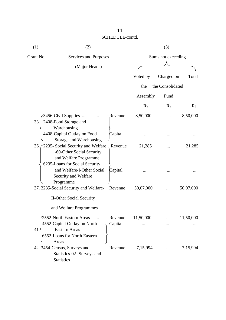| (1)       | (2)                                                                                                                             |                    |           | (3)                |                  |
|-----------|---------------------------------------------------------------------------------------------------------------------------------|--------------------|-----------|--------------------|------------------|
| Grant No. | Services and Purposes                                                                                                           |                    |           | Sums not exceeding |                  |
|           | (Major Heads)                                                                                                                   |                    |           |                    |                  |
|           |                                                                                                                                 |                    | Voted by  | Charged on         | Total            |
|           |                                                                                                                                 |                    | the       | the Consolidated   |                  |
|           |                                                                                                                                 |                    | Assembly  | Fund               |                  |
|           |                                                                                                                                 |                    | Rs.       | Rs.                | R <sub>s</sub> . |
| 33.       | 3456-Civil Supplies<br>2408-Food Storage and<br>Warehousing                                                                     | $\gamma$ Revenue   | 8,50,000  |                    | 8,50,000         |
|           | 4408-Capital Outlay on Food<br>Storage and Warehousing                                                                          | Capital            |           |                    |                  |
|           | 36. (2235- Social Security and Welfare,<br>-60-Other Social Security<br>and Welfare Programme<br>6235-Loans for Social Security | Revenue            | 21,285    |                    | 21,285           |
|           | and Welfare-I-Other Social<br>Security and Welfare<br>Programme                                                                 | Capital            |           |                    |                  |
|           | 37. 2235-Social Security and Welfare-<br><b>II-Other Social Security</b>                                                        | Revenue            | 50,07,000 |                    | 50,07,000        |
|           | and Welfare Programmes                                                                                                          |                    |           |                    |                  |
| 41.       | 2552-North Eastern Areas<br>4552-Capital Outlay on North<br><b>Eastern Areas</b><br>6552-Loans for North Eastern                | Revenue<br>Capital | 11,50,000 |                    | 11,50,000        |
|           | Areas<br>42. 3454-Census, Surveys and<br>Statistics-02- Surveys and<br><b>Statistics</b>                                        | Revenue            | 7,15,994  |                    | 7,15,994         |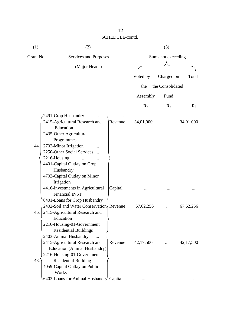| (1)       | (2)                                                                                                                                                                                                                                                                          |         | (3)                |                  |             |  |
|-----------|------------------------------------------------------------------------------------------------------------------------------------------------------------------------------------------------------------------------------------------------------------------------------|---------|--------------------|------------------|-------------|--|
| Grant No. | Services and Purposes                                                                                                                                                                                                                                                        |         | Sums not exceeding |                  |             |  |
|           | (Major Heads)                                                                                                                                                                                                                                                                |         |                    |                  |             |  |
|           |                                                                                                                                                                                                                                                                              |         | Voted by           | Charged on       | Total       |  |
|           |                                                                                                                                                                                                                                                                              |         | the                | the Consolidated |             |  |
|           |                                                                                                                                                                                                                                                                              |         | Assembly           | Fund             |             |  |
|           |                                                                                                                                                                                                                                                                              |         |                    |                  |             |  |
|           |                                                                                                                                                                                                                                                                              |         | Rs.                | Rs.              | Rs.         |  |
| 44.       | 2491-Crop Husbandry<br>2415-Agricultural Research and<br>Education<br>2435-Other Agricultural<br>Programmes<br>2702-Minor Irrigation<br>2250-Other Social Services<br>2216-Housing<br>4401-Capital Outlay on Crop<br>Husbandry<br>4702-Capital Outlay on Minor<br>Irrigation | Revenue | 34,01,000          |                  | 34,01,000   |  |
|           | 4416-Investments in Agricultural<br><b>Financial INST</b><br>6401-Loans for Crop Husbandry                                                                                                                                                                                   | Capital |                    |                  |             |  |
| 46.       | 2402-Soil and Water Conservatiom Revenue<br>2415-Agricultural Research and<br>Education<br>2216-Housing-01-Government<br><b>Residential Buildings</b>                                                                                                                        |         | 67, 62, 256        |                  | 67, 62, 256 |  |
| 48.       | 2403-Animal Husbandry<br>2415-Agricultural Research and<br>Education (Animal Husbandry)<br>2216-Housing-01-Government<br><b>Residential Building</b><br>4059-Capital Outlay on Public<br>Works                                                                               | Revenue | 42,17,500          |                  | 42,17,500   |  |
|           | 6403-Loans for Animal Husbandry Capital                                                                                                                                                                                                                                      |         |                    |                  |             |  |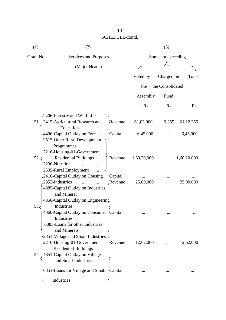| (1)       | (2)                                                                                                                                                                       |                    |                    | (3)              |             |
|-----------|---------------------------------------------------------------------------------------------------------------------------------------------------------------------------|--------------------|--------------------|------------------|-------------|
| Grant No. | Services and Purposes                                                                                                                                                     |                    | Sums not exceeding |                  |             |
|           | (Major Heads)                                                                                                                                                             |                    |                    |                  |             |
|           |                                                                                                                                                                           |                    | Voted by           | Charged on       | Total       |
|           |                                                                                                                                                                           |                    | the                | the Consolidated |             |
|           |                                                                                                                                                                           |                    | Assembly           | Fund             |             |
|           |                                                                                                                                                                           |                    | Rs.                | Rs.              | Rs.         |
|           | 2406-Forestry and Wild Life                                                                                                                                               |                    |                    |                  |             |
| 51.       | 2415-Agricultural Research and                                                                                                                                            | Revenue            | 61,03,000          | 9,255            | 61, 12, 255 |
|           | Education<br>4406-Capital Outlay on Forests  Capital<br>2515-Other Rural Development                                                                                      |                    | 6,45,000           |                  | 6,45,000    |
| 52.       | Programmes<br>2216-Housing-01-Government<br><b>Residential Buildings</b><br>2236-Nutrition                                                                                | Revenue            | 1,60,20,000        |                  | 1,60,20,000 |
|           | 2505-Rural Employment<br>2416-Capital Outlay on Housing<br>2852-Industries<br>4885-Capital Outlay on Industries                                                           | Capital<br>Revenue | 25,00,000          |                  | 25,00,000   |
| 53.       | and Mineral<br>4858-Capital Outlay on Engineering<br>Industries<br>4860-Capital Outlay on Consumer Capital<br>Industries<br>6885-Loans for other Industries               |                    |                    |                  |             |
| 54.       | and Minerals<br>2851-Village and Small Industries<br>2216-Housing-01-Government<br><b>Residential Buildings</b><br>4851-Capital Outlay on Village<br>and Small Industries | Revenue            | 12,62,000          |                  | 12,62,000   |
|           | 6851-Loans for Village and Small<br>Industries                                                                                                                            | Capital            |                    |                  |             |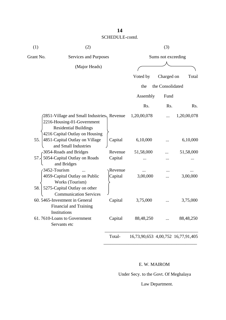| (1)       | (2)                                                                                                                                        |                    |                                    | (3)              |             |
|-----------|--------------------------------------------------------------------------------------------------------------------------------------------|--------------------|------------------------------------|------------------|-------------|
| Grant No. | Services and Purposes                                                                                                                      | Sums not exceeding |                                    |                  |             |
|           | (Major Heads)                                                                                                                              |                    |                                    |                  |             |
|           |                                                                                                                                            |                    | Voted by                           | Charged on       | Total       |
|           |                                                                                                                                            |                    | the                                | the Consolidated |             |
|           |                                                                                                                                            |                    | Assembly                           | Fund             |             |
|           |                                                                                                                                            |                    | Rs.                                | Rs.              | Rs.         |
|           | 2851-Village and Small Industries, Revenue<br>2216-Housing-01-Government<br><b>Residential Buildings</b><br>4216 Capital Outlay on Housing |                    | 1,20,00,078                        | $\dddotsc$       | 1,20,00,078 |
| 55.       | 4851-Capital Outlay on Village<br>and Small Industries                                                                                     | Capital            | 6,10,000                           |                  | 6,10,000    |
|           | 3054-Roads and Bridges                                                                                                                     | Revenue            | 51,58,000                          |                  | 51,58,000   |
| 57.       | 5054-Capital Outlay on Roads<br>and Bridges                                                                                                | Capital            |                                    |                  |             |
| 58.       | 3452-Tourism<br>4059-Capital Outlay on Public<br>Works (Tourism)<br>5275-Capital Outlay on other<br><b>Communication Services</b>          | Revenue<br>Capital | <br>3,00,000                       |                  | 3,00,000    |
|           | 60. 5465-Investment in General<br><b>Financial and Training</b><br>Institutions                                                            | Capital            | 3,75,000                           |                  | 3,75,000    |
|           | 61.7610-Loans to Government<br>Servants etc                                                                                                | Capital            | 88,48,250                          |                  | 88,48,250   |
|           |                                                                                                                                            | Total-             | 16,73,90,653 4,00,752 16,77,91,405 |                  |             |

 $\overline{\phantom{a}}$  ,  $\overline{\phantom{a}}$  ,  $\overline{\phantom{a}}$  ,  $\overline{\phantom{a}}$  ,  $\overline{\phantom{a}}$  ,  $\overline{\phantom{a}}$  ,  $\overline{\phantom{a}}$  ,  $\overline{\phantom{a}}$  ,  $\overline{\phantom{a}}$  ,  $\overline{\phantom{a}}$  ,  $\overline{\phantom{a}}$  ,  $\overline{\phantom{a}}$  ,  $\overline{\phantom{a}}$  ,  $\overline{\phantom{a}}$  ,  $\overline{\phantom{a}}$  ,  $\overline{\phantom{a}}$ 

#### E. W. MAIROM

Under Secy. to the Govt. Of Meghalaya

Law Department.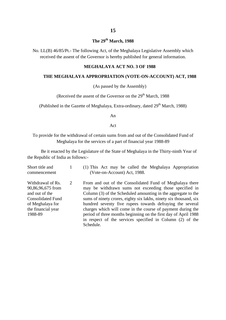#### **The 29th March, 1988**

No. LL(B) 46/85/Pt.- The following Act, of the Meghalaya Legislative Assembly which received the assent of the Governor is hereby published for general information.

#### **MEGHALAYA ACT NO. 3 OF 1988**

#### **THE MEGHALAYA APPROPRIATION (VOTE-ON-ACCOUNT) ACT, 1988**

(As passed by the Assembly)

(Received the assent of the Governor on the  $29<sup>th</sup>$  March, 1988)

(Published in the Gazette of Meghalaya, Extra-ordinary, dated  $29<sup>th</sup>$  March, 1988)

An

Act

To provide for the withdrawal of certain sums from and out of the Consolidated Fund of Meghalaya for the services of a part of financial year 1988-89

Be it enacted by the Legislature of the State of Meghalaya in the Thirty-ninth Year of the Republic of India as follows:-

| Short title and<br>commencement                                                                                                           |   | (1) This Act may be called the Meghalaya Appropriation<br>(Vote-on-Account) Act, 1988.                                                                                                                                                                                                                                                                                                                                                                                                                                            |
|-------------------------------------------------------------------------------------------------------------------------------------------|---|-----------------------------------------------------------------------------------------------------------------------------------------------------------------------------------------------------------------------------------------------------------------------------------------------------------------------------------------------------------------------------------------------------------------------------------------------------------------------------------------------------------------------------------|
| Withdrawal of Rs.<br>90,86,96,675 from<br>and out of the<br><b>Consolidated Fund</b><br>of Meghalaya for<br>the financial year<br>1988-89 | 2 | From and out of the Consolidated Fund of Meghalaya there<br>may be withdrawn sums not exceeding those specified in<br>Column (3) of the Scheduled amounting in the aggregate to the<br>sums of ninety crores, eighty six lakhs, ninety six thousand, six<br>hundred seventy five rupees towards defraying the several<br>charges which will come in the course of payment during the<br>period of three months beginning on the first day of April 1988<br>in respect of the services specified in Column (2) of the<br>Schedule. |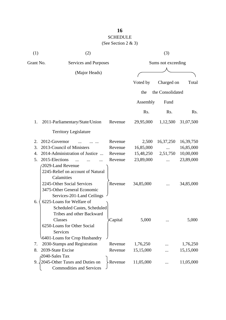## **16** SCHEDULE

(See Section 2 & 3)

| (1)       | (2)                                                                                                                                                                          |                    | (3)       |                  |           |
|-----------|------------------------------------------------------------------------------------------------------------------------------------------------------------------------------|--------------------|-----------|------------------|-----------|
| Grant No. | Services and Purposes                                                                                                                                                        | Sums not exceeding |           |                  |           |
|           | (Major Heads)                                                                                                                                                                |                    |           |                  |           |
|           |                                                                                                                                                                              |                    | Voted by  | Charged on       | Total     |
|           |                                                                                                                                                                              |                    |           |                  |           |
|           |                                                                                                                                                                              |                    | the       | the Consolidated |           |
|           |                                                                                                                                                                              |                    | Assembly  | Fund             |           |
|           |                                                                                                                                                                              |                    | Rs.       | Rs.              | Rs.       |
| 1.        | 2011-Parliamentary/State/Union                                                                                                                                               | Revenue            | 29,95,000 | 1,12,500         | 31,07,500 |
|           | <b>Territory Legislature</b>                                                                                                                                                 |                    |           |                  |           |
| 2.        | 2012-Governor                                                                                                                                                                | Revenue            | 2,500     | 16,37,250        | 16,39,750 |
| 3.        | 2013-Council of Ministers                                                                                                                                                    | Revenue            | 16,85,000 |                  | 16,85,000 |
| 4.        | 2014-Administration of Justice<br>$\dddotsc$                                                                                                                                 | Revenue            | 15,48,250 | 2,51,750         | 10,00,000 |
| 5.        | 2015-Elections                                                                                                                                                               | Revenue            | 23,89,000 |                  | 23,89,000 |
|           | 2029-Land Revenue<br>2245-Relief on account of Natural<br>Calamities<br>2245-Other Social Services<br>3475-Other General Economic<br>Services-201-Land Ceilings              | Revenue            | 34,85,000 |                  | 34,85,000 |
| 6.        | 6225-Loans for Welfare of<br>Scheduled Castes, Scheduled<br>Tribes and other Backward<br>Classes<br>6250-Loans for Other Social<br>Services<br>6401-Loans for Crop Husbandry | Capital            | 5,000     |                  | 5,000     |
| 7.        | 2030-Stamps and Registration                                                                                                                                                 | Revenue            | 1,76,250  |                  | 1,76,250  |
| 8.        | 2039-State Excise                                                                                                                                                            | Revenue            | 15,15,000 |                  | 15,15,000 |
|           | 2040-Sales Tax                                                                                                                                                               |                    |           |                  |           |
|           | 9. 2045-Other Taxes and Duties on<br><b>Commodities and Services</b>                                                                                                         | <b>Revenue</b>     | 11,05,000 |                  | 11,05,000 |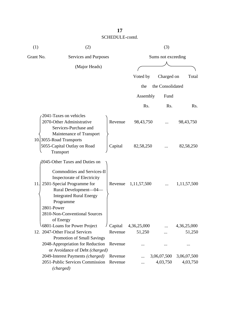| (1)       | (2)                                                                                                                                                                                                                                                                   |                    |                       | (3)                     |                         |  |  |
|-----------|-----------------------------------------------------------------------------------------------------------------------------------------------------------------------------------------------------------------------------------------------------------------------|--------------------|-----------------------|-------------------------|-------------------------|--|--|
| Grant No. | Services and Purposes                                                                                                                                                                                                                                                 |                    |                       | Sums not exceeding      |                         |  |  |
|           | (Major Heads)                                                                                                                                                                                                                                                         |                    |                       |                         |                         |  |  |
|           |                                                                                                                                                                                                                                                                       |                    | Voted by              | Charged on              | Total                   |  |  |
|           |                                                                                                                                                                                                                                                                       |                    | the                   | the Consolidated        |                         |  |  |
|           |                                                                                                                                                                                                                                                                       |                    | Assembly              | Fund                    |                         |  |  |
|           |                                                                                                                                                                                                                                                                       |                    | Rs.                   | Rs.                     | Rs.                     |  |  |
|           | 2041-Taxes on vehicles<br>2070-Other Administrative<br>Services-Purchase and<br>Maintenance of Transport                                                                                                                                                              | Revenue            | 98,43,750             |                         | 98, 43, 750             |  |  |
|           | 10. 3055-Road Transports<br>5055-Capital Outlay on Road<br>Transport                                                                                                                                                                                                  | Capital            | 82,58,250             |                         | 82,58,250               |  |  |
| 11.       | 2045-Other Taxes and Duties on<br><b>Commodities and Services-II</b><br>Inspectorate of Electricity<br>2501-Special Programme for<br>Rural Development-04-<br><b>Integrated Rural Energy</b><br>Programme<br>2801-Power<br>2810-Non-Conventional Sources<br>of Energy | Revenue            | 1, 11, 57, 500        |                         | 1,11,57,500             |  |  |
|           | 6801-Loans for Power Project<br>12. 2047-Other Fiscal Services                                                                                                                                                                                                        | Capital<br>Revenue | 4,36,25,000<br>51,250 |                         | 4,36,25,000<br>51,250   |  |  |
|           | Promotion of Small Savings<br>2048-Appropriation for Reduction<br>or Avoidance of Debt (charged)                                                                                                                                                                      | Revenue            |                       |                         |                         |  |  |
|           | 2049-Interest Payments (charged)<br>2051-Public Services Commission<br>(charged)                                                                                                                                                                                      | Revenue<br>Revenue |                       | 3,06,07,500<br>4,03,750 | 3,06,07,500<br>4,03,750 |  |  |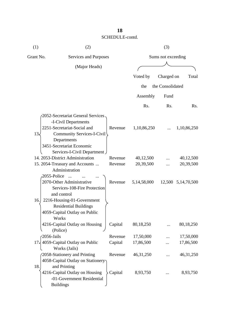| (1)       | (2)                                                                                                   |         |                    | (3)              |                    |  |
|-----------|-------------------------------------------------------------------------------------------------------|---------|--------------------|------------------|--------------------|--|
| Grant No. | Services and Purposes                                                                                 |         | Sums not exceeding |                  |                    |  |
|           | (Major Heads)                                                                                         |         |                    |                  |                    |  |
|           |                                                                                                       |         | Voted by           | Charged on       | Total              |  |
|           |                                                                                                       |         |                    | the Consolidated |                    |  |
|           |                                                                                                       |         | the                |                  |                    |  |
|           |                                                                                                       |         | Assembly           | Fund             |                    |  |
|           |                                                                                                       |         | Rs.                | Rs.              | Rs.                |  |
|           | 2052-Secretariat General Services<br>-I-Civil Departments<br>2251-Secretariat-Social and              | Revenue | 1,10,86,250        |                  | 1,10,86,250        |  |
| 13.       | Community Services-I-Civil<br>Departments<br>3451-Secretariat Economic<br>Services-I-Civil Department |         |                    |                  |                    |  |
|           | 14. 2053-District Administration                                                                      | Revenue | 40,12,500          |                  | 40,12,500          |  |
|           | 15. 2054-Treasury and Accounts<br>Administration<br>2055-Police<br>$\dddotsc$                         | Revenue | 20,39,500          |                  | 20,39,500          |  |
|           | 2070-Other Administrative<br>Services-108-Fire Protection<br>and control                              | Revenue | 5,14,58,000        |                  | 12,500 5,14,70,500 |  |
| 16.       | 2216-Housing-01-Government<br><b>Residential Buildings</b><br>4059-Capital Outlay on Public<br>Works  |         |                    |                  |                    |  |
|           | 4216-Capital Outlay on Housing<br>(Police)                                                            | Capital | 80,18,250          |                  | 80,18,250          |  |
|           | 2056-Jails                                                                                            | Revenue | 17,50,000          |                  | 17,50,000          |  |
|           | 17, 4059-Capital Outlay on Public<br>Works (Jails)                                                    | Capital | 17,86,500          |                  | 17,86,500          |  |
|           | 2058-Stationery and Printing<br>4058-Capital Outlay on Stationery                                     | Revenue | 46, 31, 250        |                  | 46, 31, 250        |  |
| 18.       | and Printing<br>4216-Capital Outlay on Housing<br>-01-Government Residential<br><b>Buildings</b>      | Capital | 8,93,750           |                  | 8,93,750           |  |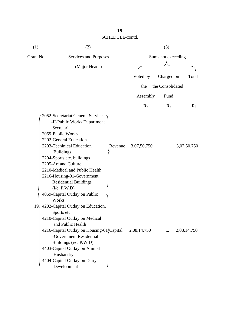| (1)       | (2)                                                                                                                                                                                                                                                                                                                                                   |         |                  | (3)                |             |
|-----------|-------------------------------------------------------------------------------------------------------------------------------------------------------------------------------------------------------------------------------------------------------------------------------------------------------------------------------------------------------|---------|------------------|--------------------|-------------|
| Grant No. | Services and Purposes                                                                                                                                                                                                                                                                                                                                 |         |                  | Sums not exceeding |             |
|           | (Major Heads)                                                                                                                                                                                                                                                                                                                                         |         |                  |                    |             |
|           |                                                                                                                                                                                                                                                                                                                                                       |         | Voted by         | Charged on         | Total       |
|           |                                                                                                                                                                                                                                                                                                                                                       |         | the              | the Consolidated   |             |
|           |                                                                                                                                                                                                                                                                                                                                                       |         |                  |                    |             |
|           |                                                                                                                                                                                                                                                                                                                                                       |         | Assembly         | Fund               |             |
|           |                                                                                                                                                                                                                                                                                                                                                       |         | R <sub>s</sub> . | Rs.                | Rs.         |
|           | 2052-Secretariat General Services<br>-II-Public Works Department<br>Secretariat<br>2059-Public Works<br>2202-General Education<br>2203-Techinical Education<br><b>Buildings</b><br>2204-Sports etc. buildings<br>2205-Art and Culture<br>2210-Medical and Public Health<br>2216-Housing-01-Government<br><b>Residential Buildings</b><br>(i/c. P.W.D) | Revenue | 3,07,50,750      |                    | 3,07,50,750 |
| 19        | 4059-Capital Outlay on Public<br>Works<br>4202-Capital Outlay on Education,<br>Sports etc.<br>4210-Capital Outlay on Medical<br>and Public Health<br>4216-Capital Outlay on Housing-01\Capital<br>-Government Residential<br>Buildings (i/c. P.W.D)<br>4403-Capital Outlay on Animal<br>Husbandry<br>4404-Capital Outlay on Dairy<br>Development      |         | 2,08,14,750      |                    | 2,08,14,750 |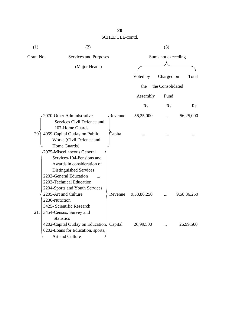| (1)       | (2)                                                                                                                                                                                                                             |         |                    | (3)              |             |  |
|-----------|---------------------------------------------------------------------------------------------------------------------------------------------------------------------------------------------------------------------------------|---------|--------------------|------------------|-------------|--|
| Grant No. | Services and Purposes                                                                                                                                                                                                           |         | Sums not exceeding |                  |             |  |
|           | (Major Heads)                                                                                                                                                                                                                   |         |                    |                  |             |  |
|           |                                                                                                                                                                                                                                 |         | Voted by           | Charged on       | Total       |  |
|           |                                                                                                                                                                                                                                 |         | the                | the Consolidated |             |  |
|           |                                                                                                                                                                                                                                 |         | Assembly           | Fund             |             |  |
|           |                                                                                                                                                                                                                                 |         | Rs.                | Rs.              | Rs.         |  |
|           | 2070-Other Administrative<br>Services Civil Defence and                                                                                                                                                                         | Revenue | 56,25,000          |                  | 56,25,000   |  |
| 20.       | 107-Home Guards<br>4059-Capital Outlay on Public<br>Works (Civil Defence and<br>Home Guards)                                                                                                                                    | Capital |                    |                  |             |  |
|           | 2075-Miscellaneous General<br>Services-104-Pensions and<br>Awards in consideration of<br>Distinguished Services<br>2202-General Education<br>2203-Technical Education<br>2204-Sports and Youth Services<br>2205-Art and Culture | Revenue | 9,58,86,250        |                  | 9,58,86,250 |  |
| 21.       | 2236-Nutrition<br>3425- Scientific Research<br>3454-Census, Survey and<br><b>Statistics</b>                                                                                                                                     |         |                    |                  |             |  |
|           | 4202-Capital Outlay on Education, Capital<br>6202-Loans for Education, sports,<br>Art and Culture                                                                                                                               |         | 26,99,500          |                  | 26,99,500   |  |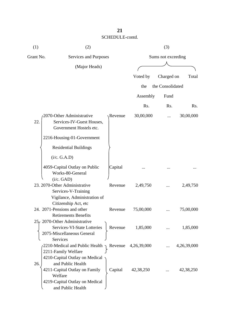| (1)           | (2)                                                                                                                                             |         |                    | (3)              |             |
|---------------|-------------------------------------------------------------------------------------------------------------------------------------------------|---------|--------------------|------------------|-------------|
| Grant No.     | Services and Purposes                                                                                                                           |         | Sums not exceeding |                  |             |
| (Major Heads) |                                                                                                                                                 |         |                    |                  |             |
|               |                                                                                                                                                 |         | Voted by           | Charged on       | Total       |
|               |                                                                                                                                                 |         |                    |                  |             |
|               |                                                                                                                                                 |         | the                | the Consolidated |             |
|               |                                                                                                                                                 |         | Assembly           | Fund             |             |
|               |                                                                                                                                                 |         | Rs.                | Rs.              | Rs.         |
| 22.           | 2070-Other Administrative<br>Services-IV-Guest Houses,<br>Government Hostels etc.<br>2216-Housing-01-Government<br><b>Residential Buildings</b> | Revenue | 30,00,000          |                  | 30,00,000   |
|               | (i/c. G.A.D)                                                                                                                                    |         |                    |                  |             |
|               | 4059-Capital Outlay on Public<br>Works-80-General<br>(i/c. GAD)                                                                                 | Capital |                    |                  |             |
|               | 23. 2070-Other Administrative<br>Services-V-Training<br>Vigilance, Administration of                                                            | Revenue | 2,49,750           |                  | 2,49,750    |
|               | Citizenship Act, etc<br>24. 2071-Pensions and other<br><b>Retirements Benefits</b>                                                              | Revenue | 75,00,000          |                  | 75,00,000   |
|               | $256$ 2070-Other Administrative<br>Services-VI-State Lotteries<br>2075-Miscellaneous General<br>Services                                        | Revenue | 1,85,000           |                  | 1,85,000    |
|               | 2210-Medical and Public Health $\gamma$ Revenue 4,26,39,000<br>2211-Family Welfare<br>4210-Capital Outlay on Medical                            |         |                    |                  | 4,26,39,000 |
| 26.           | and Public Health<br>4211-Capital Outlay on Family<br>Welfare<br>4219-Capital Outlay on Medical<br>and Public Health                            | Capital | 42,38,250          |                  | 42, 38, 250 |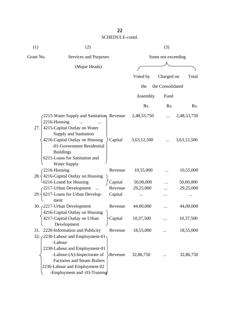| (1)          | (2)                                                                                                                                                                            |         |                  | (3)                |             |
|--------------|--------------------------------------------------------------------------------------------------------------------------------------------------------------------------------|---------|------------------|--------------------|-------------|
| Grant No.    | Services and Purposes                                                                                                                                                          |         |                  | Sums not exceeding |             |
|              | (Major Heads)                                                                                                                                                                  |         |                  |                    |             |
|              |                                                                                                                                                                                |         | Voted by         | Charged on         | Total       |
|              |                                                                                                                                                                                |         | the              | the Consolidated   |             |
|              |                                                                                                                                                                                |         | Assembly         | Fund               |             |
|              |                                                                                                                                                                                |         | R <sub>s</sub> . | Rs.                | Rs.         |
| 2216-Housing | 2215-Water Supply and Sanitation, Revenue                                                                                                                                      |         | 2,48,53,750      | $\cdots$           | 2,48,53,750 |
| 27.          | 4215-Capital Outlay on Water<br>Supply and Sanitation<br>4216-Capital Outlay on Housing<br>-01-Government Residential<br><b>Buildings</b><br>6215-Loans for Sanitation and     | Capital | 3,63,12,500      |                    | 3,63,12,500 |
| 2216-Housing | <b>Water Supply</b><br>28. $\frac{1}{2}$ 4216-Capital Outlay on Housing                                                                                                        | Revenue | 10,55,000        |                    | 10,55,000   |
|              | -6216-Loand for Housing                                                                                                                                                        | Capital | 50,00,000        |                    | 50,00,000   |
|              | 2217-Urban Development<br>$\cdots$                                                                                                                                             | Revenue | 29,25,000        |                    | 29,25,000   |
|              | $29.\frac{20.17}{20.0000}$ for Urban Develop-                                                                                                                                  | Capital | $\cdots$         |                    |             |
|              | ment<br>30. $c2217$ -Urban Development<br>4216-Capital Outlay on Housing )                                                                                                     | Revenue | 44,00,000        |                    | 44,00,000   |
|              | 4217-Capital Outlay on Urban<br>Development                                                                                                                                    | Capital | 10,37,500        |                    | 10,37,500   |
| 31.<br>32.7  | 2220-Information and Publicity<br>2230-Labour and Employment-01                                                                                                                | Revenue | 18,55,000        |                    | 18,55,000   |
|              | -Labour<br>2230-Labour and Employment-01<br>-Labour-(A)-Inspectorate of<br><b>Factories and Steam Boilers</b><br>2230-Labour and Employment-02<br>-Employment and -03-Training | Revenue | 32,86,750        |                    | 32,86,750   |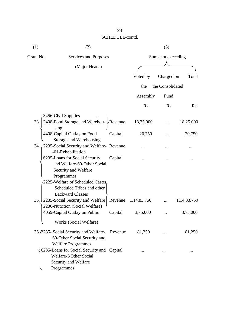| (1)       | (2)                                                                                                         |                    |             | (3)              |                  |  |
|-----------|-------------------------------------------------------------------------------------------------------------|--------------------|-------------|------------------|------------------|--|
| Grant No. | Services and Purposes                                                                                       | Sums not exceeding |             |                  |                  |  |
|           | (Major Heads)                                                                                               |                    |             |                  |                  |  |
|           |                                                                                                             |                    | Voted by    | Charged on       | Total            |  |
|           |                                                                                                             |                    | the         | the Consolidated |                  |  |
|           |                                                                                                             |                    | Assembly    | Fund             |                  |  |
|           |                                                                                                             |                    | Rs.         | Rs.              | R <sub>s</sub> . |  |
|           | 3456-Civil Supplies                                                                                         |                    |             |                  |                  |  |
| 33.       | 2408-Food Storage and Warehou- Revenue<br>sing                                                              |                    | 18,25,000   |                  | 18,25,000        |  |
|           | 4408-Capital Outlay on Food<br>Storage and Warehousing                                                      | Capital            | 20,750      |                  | 20,750           |  |
|           | 34. <sub>(2235</sub> -Social Security and Welfare-Revenue<br>-01-Rehabilitation                             |                    |             |                  |                  |  |
|           | 6235-Loans for Social Security<br>and Welfare-60-Other Social<br>Security and Welfare<br>Programmes         | Capital            |             |                  |                  |  |
|           | 2225-Welfare of Scheduled Castes,<br>Scheduled Tribes and other<br><b>Backward Classes</b>                  |                    |             |                  |                  |  |
| 35.       | 2235-Social Security and Welfare<br>2236-Nutrition (Social Welfare)                                         | Revenue            | 1,14,83,750 |                  | 1,14,83,750      |  |
|           | 4059-Capital Outlay on Public                                                                               | Capital            | 3,75,000    |                  | 3,75,000         |  |
|           | Works (Social Welfare)                                                                                      |                    |             |                  |                  |  |
|           | 36./2235- Social Security and Welfare- Revenue<br>60-Other Social Security and<br><b>Welfare Programmes</b> |                    | 81,250      |                  | 81,250           |  |
|           | 6235-Loans for Social Security and Capital<br>Welfare-I-Other Social<br>Security and Welfare<br>Programmes  |                    |             |                  |                  |  |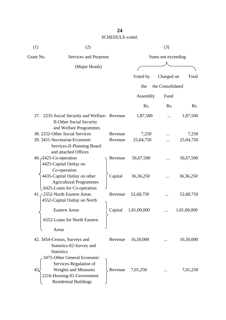| (1)                             | (2)                                                                                                                                                |                    |                    | (3)                |                    |
|---------------------------------|----------------------------------------------------------------------------------------------------------------------------------------------------|--------------------|--------------------|--------------------|--------------------|
| Grant No.                       | Services and Purposes                                                                                                                              |                    |                    | Sums not exceeding |                    |
|                                 | (Major Heads)                                                                                                                                      |                    |                    |                    |                    |
|                                 |                                                                                                                                                    |                    | Voted by           | Charged on         | Total              |
|                                 |                                                                                                                                                    |                    | the                | the Consolidated   |                    |
|                                 |                                                                                                                                                    |                    | Assembly           | Fund               |                    |
|                                 |                                                                                                                                                    |                    | Rs.                | Rs.                | Rs.                |
|                                 | 37. 2235-Social Security and Welfare-Revenue<br><b>II-Other Social Security</b>                                                                    |                    | 1,87,500           |                    | 1,87,500           |
|                                 | and Welfare Programmes<br>38. 2252-Other Social Services<br>39. 3451-Secretariat-Economic                                                          | Revenue<br>Revenue | 7,250<br>25,04,750 |                    | 7,250<br>25,04,750 |
|                                 | Services-II-Planning Board<br>and attached Offices                                                                                                 |                    |                    |                    |                    |
| 40. <i>(2425-Co-operation</i> ) | 4425-Capital Outlay on<br>Co-operation                                                                                                             | Revenue            | 56,67,500          |                    | 56,67,500          |
|                                 | 4435-Capital Outlay on other<br><b>Agricultural Programmes</b>                                                                                     | Capital            | 36, 36, 250        |                    | 36, 36, 250        |
|                                 | 6425-Loans for Co-operation<br>41. 2552-North Eastern Areas<br>4552-Capital Outlay on North                                                        | Revenue            | 52,68,750          |                    | 52,68,750          |
|                                 | Eastern Areas                                                                                                                                      | Capital            | 1,81,00,000        |                    | 1,81,00,000        |
|                                 | 6552-Loans for North Eastern                                                                                                                       |                    |                    |                    |                    |
| Areas                           |                                                                                                                                                    |                    |                    |                    |                    |
| <b>Statistics</b>               | 42. 3454-Census, Surveys and<br>Statistics-02-Survey and                                                                                           | Revenue            | 16,50,000          |                    | 16,50,000          |
| 43                              | 3475-Other General Economic<br>Services-Regulation of<br><b>Weights and Measures</b><br>2216-Housing-01-Government<br><b>Residential Buildings</b> | Revenue            | 7,01,250           |                    | 7,01,250           |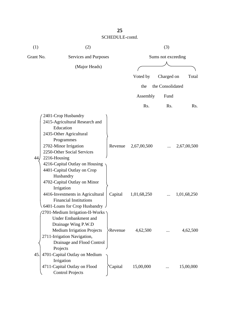| (1)       | (2)                                                                                                                                                                                                                                                                                              |         |                    | (3)              |             |  |
|-----------|--------------------------------------------------------------------------------------------------------------------------------------------------------------------------------------------------------------------------------------------------------------------------------------------------|---------|--------------------|------------------|-------------|--|
| Grant No. | Services and Purposes                                                                                                                                                                                                                                                                            |         | Sums not exceeding |                  |             |  |
|           | (Major Heads)                                                                                                                                                                                                                                                                                    |         |                    |                  |             |  |
|           |                                                                                                                                                                                                                                                                                                  |         | Voted by           | Charged on       | Total       |  |
|           |                                                                                                                                                                                                                                                                                                  |         | the                | the Consolidated |             |  |
|           |                                                                                                                                                                                                                                                                                                  |         | Assembly           | Fund             |             |  |
|           |                                                                                                                                                                                                                                                                                                  |         | Rs.                | Rs.              | Rs.         |  |
| 44,       | 2401-Crop Husbandry<br>2415-Agricultural Research and<br>Education<br>2435-Other Agricultural<br>Programmes<br>2702-Minor Irrigation<br>2250-Other Social Services<br>2216-Housing<br>4216-Capital Outlay on Housing<br>4401-Capital Outlay on Crop<br>Husbandry<br>4702-Capital Outlay on Minor | Revenue | 2,67,00,500        |                  | 2,67,00,500 |  |
|           | Irrigation<br>4416-Investments in Agricultural<br><b>Financial Institutions</b><br>6401-Loans for Crop Husbandry                                                                                                                                                                                 | Capital | 1,01,68,250        |                  | 1,01,68,250 |  |
| 45.       | 2701-Medium Irrigation-II-Works<br><b>Under Embankment and</b><br>Drainage Wing P.W.D<br><b>Medium Irrigation Projects</b><br>2711-Irrigation Navigation,<br>Drainage and Flood Control<br>Projects<br>4701-Capital Outlay on Medium                                                             | Revenue | 4,62,500           |                  | 4,62,500    |  |
|           | Irrigation<br>4711-Capital Outlay on Flood<br><b>Control Projects</b>                                                                                                                                                                                                                            | Capital | 15,00,000          |                  | 15,00,000   |  |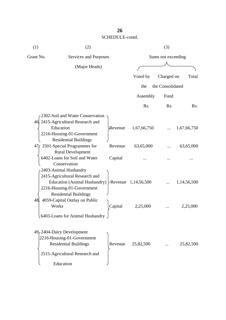| (1)       | (2)                                                        |         |                       | (3)                |                  |  |
|-----------|------------------------------------------------------------|---------|-----------------------|--------------------|------------------|--|
| Grant No. | Services and Purposes                                      |         |                       | Sums not exceeding |                  |  |
|           | (Major Heads)                                              |         |                       |                    |                  |  |
|           |                                                            |         | Voted by              | Charged on         | Total            |  |
|           |                                                            |         | the                   | the Consolidated   |                  |  |
|           |                                                            |         | Assembly              | Fund               |                  |  |
|           |                                                            |         | R <sub>s</sub> .      | Rs.                | R <sub>s</sub> . |  |
|           | 2302-Soil and Water Conservation                           |         |                       |                    |                  |  |
|           | 46. 2415-Agricultural Research and                         |         |                       |                    |                  |  |
|           | Education                                                  | Revenue | 1,67,66,750           |                    | 1,67,66,750      |  |
|           | 2216-Housing-01-Government<br><b>Residential Buildings</b> |         |                       |                    |                  |  |
|           | 47 c 2501-Special Programmes for                           | Revenue | 63,65,000             |                    | 63,65,000        |  |
|           | <b>Rural Development</b>                                   |         |                       |                    |                  |  |
|           | 6402-Loans for Soil and Water                              | Capital |                       |                    |                  |  |
|           | Conservation<br>2403-Animal Husbandry                      |         |                       |                    |                  |  |
|           | 2415-Agricultural Research and                             |         |                       |                    |                  |  |
|           | Education (Animal Husbandry)                               |         | Revenue $1,14,56,500$ |                    | 1,14,56,500      |  |
|           | 2216-Housing-01-Government                                 |         |                       |                    |                  |  |
|           | <b>Residential Buildings</b>                               |         |                       |                    |                  |  |
| 48.       | 4059-Capital Outlay on Public                              |         |                       |                    |                  |  |
|           | Works                                                      | Capital | 2,25,000              |                    | 2,25,000         |  |
|           | 5403-Loans for Animal Husbandry                            |         |                       |                    |                  |  |
|           |                                                            |         |                       |                    |                  |  |
|           | $49/2404$ -Dairy Development                               |         |                       |                    |                  |  |
|           | 2216-Housing-01-Government<br><b>Residential Buildings</b> | Revenue | 25,82,500             |                    | 25,82,500        |  |
|           |                                                            |         |                       |                    |                  |  |
|           | 2515-Agricultural Research and                             |         |                       |                    |                  |  |
|           | Education                                                  |         |                       |                    |                  |  |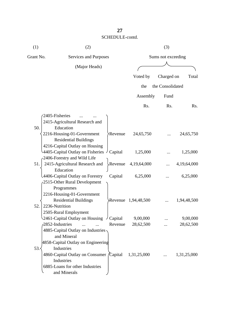| (1) | (2)                                                                                                                                                                    |                                   | (3)                     |                  |                         |  |
|-----|------------------------------------------------------------------------------------------------------------------------------------------------------------------------|-----------------------------------|-------------------------|------------------|-------------------------|--|
|     | Grant No.<br>Services and Purposes                                                                                                                                     |                                   | Sums not exceeding      |                  |                         |  |
|     | (Major Heads)                                                                                                                                                          |                                   |                         |                  |                         |  |
|     |                                                                                                                                                                        |                                   | Voted by                | Charged on       | Total                   |  |
|     |                                                                                                                                                                        |                                   | the                     | the Consolidated |                         |  |
|     |                                                                                                                                                                        |                                   | Assembly                | Fund             |                         |  |
|     |                                                                                                                                                                        |                                   | Rs.                     | Rs.              | R <sub>s</sub> .        |  |
| 50. | 2405-Fisheries<br>2415-Agricultural Research and<br>Education<br>2216-Housing-01-Government                                                                            | Revenue                           | 24,65,750               |                  | 24,65,750               |  |
|     | <b>Residential Buildings</b><br>4216-Capital Outlay on Housing<br>4405-Capital Outlay on Fisheries $\int$ Capital<br>2406-Forestry and Wild Life                       |                                   | 1,25,000                |                  | 1,25,000                |  |
| 51. | 2415-Agricultural Research and<br>Education<br>4406-Capital Outlay on Forestry                                                                                         | Revenue<br>Capital                | 4,19,64,000<br>6,25,000 |                  | 4,19,64,000<br>6,25,000 |  |
| 52. | 2515-Other Rural Development<br>Programmes<br>2216-Housing-01-Government<br><b>Residential Buildings</b><br>2236-Nutrition<br>2505-Rural Employment                    |                                   | Revenue 1,94,48,500     |                  | 1,94,48,500             |  |
|     | 2461-Capital Outlay on Housing<br>2852-Industries<br>4885-Capital Outlay on Industries<br>and Mineral                                                                  | $\overline{C}$ Capital<br>Revenue | 9,00,000<br>28,62,500   |                  | 9,00,000<br>28,62,500   |  |
| 53. | 4858-Capital Outlay on Engineering<br>Industries<br>4860-Capital Outlay on Consumer <i>(Capital</i> )<br>Industries<br>6885-Loans for other Industries<br>and Minerals |                                   | 1,31,25,000             |                  | 1,31,25,000             |  |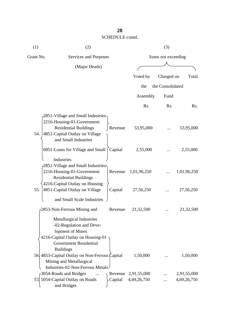| (1)       | (2)                                                                                                                                                                       |         | (3)                 |                  |             |  |
|-----------|---------------------------------------------------------------------------------------------------------------------------------------------------------------------------|---------|---------------------|------------------|-------------|--|
| Grant No. | Services and Purposes                                                                                                                                                     |         | Sums not exceeding  |                  |             |  |
|           | (Major Heads)                                                                                                                                                             |         |                     |                  |             |  |
|           |                                                                                                                                                                           |         | Voted by            | Charged on       | Total       |  |
|           |                                                                                                                                                                           |         |                     |                  |             |  |
|           |                                                                                                                                                                           |         | the                 | the Consolidated |             |  |
|           |                                                                                                                                                                           |         | Assembly            | Fund             |             |  |
|           |                                                                                                                                                                           |         | Rs.                 | Rs.              | Rs.         |  |
| 54.       | 2851-Village and Small Industries-<br>2216-Housing-01-Government<br><b>Residential Buildings</b><br>4851-Capital Outlay on Village                                        | Revenue | 53,95,000           |                  | 53,95,000   |  |
|           | and Small Industries<br>6851-Loans for Village and Small<br>Industries                                                                                                    | Capital | 2,55,000            |                  | 2,55,000    |  |
|           | 2851-Village and Small Industries<br>2216-Housing-01-Government<br><b>Residential Buildings</b>                                                                           | Revenue | 1,01,96,250         |                  | 1,01,96,250 |  |
| 55.       | 4216-Capital Outlay on Housing<br>4851-Capital Outlay on Village<br>and Small Scale Industries                                                                            | Capital | 27,56,250           |                  | 27,56,250   |  |
|           | 2853-Non-Ferrous Mining and                                                                                                                                               | Revenue | 21,32,500           |                  | 21,32,500   |  |
|           | <b>Metallurgical Industries</b><br>-02-Regulation and Deve-<br>lopment of Mines<br>4216-Capital Outlay on Housing-01<br><b>Government Residential</b><br><b>Buildings</b> |         |                     |                  |             |  |
|           | 56 4853-Capital Outlay on Non-Ferrous Capital<br>Mining and Metallurgical<br>Industries-02-Non-Ferrous Metals-                                                            |         | 1,50,000            |                  | 1,50,000    |  |
|           | -3054-Roads and Bridges                                                                                                                                                   |         | Revenue 2,91,55,000 |                  | 2,91,55,000 |  |
|           | 57 5054-Capital Outlay on Roads<br>and Bridges                                                                                                                            | Capital | 4,69,26,750         |                  | 4,69,26,750 |  |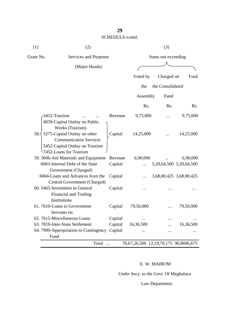| (1)       | (2)                                                                                                                                              |         |                                       | (3)                |                         |  |  |
|-----------|--------------------------------------------------------------------------------------------------------------------------------------------------|---------|---------------------------------------|--------------------|-------------------------|--|--|
| Grant No. | Services and Purposes                                                                                                                            |         |                                       | Sums not exceeding |                         |  |  |
|           | (Major Heads)                                                                                                                                    |         |                                       |                    |                         |  |  |
|           |                                                                                                                                                  |         | Voted by                              | Charged on         | Total                   |  |  |
|           |                                                                                                                                                  |         | the                                   | the Consolidated   |                         |  |  |
|           |                                                                                                                                                  |         | Assembly                              | Fund               |                         |  |  |
|           |                                                                                                                                                  |         | R <sub>s</sub> .                      | Rs.                | R <sub>s</sub> .        |  |  |
|           | 3452-Tourism<br>4059-Capital Outlay on Public                                                                                                    | Revenue | 9,75,000                              |                    | 9,75,000                |  |  |
|           | Works (Tourism)<br>58. 5275-Capital Outlay on other<br><b>Communication Services</b><br>5452-Capital Outlay on Tourism<br>7452-Loans for Tourism | Capital | 14,25,000                             |                    | 14,25,000               |  |  |
|           | 59. 3606-Aid Materials and Equipment                                                                                                             | Revenue | 6,90,000                              |                    | 6,90,000                |  |  |
|           | 6003-Internal Debt of the State<br>Government (Charged)                                                                                          | Capital |                                       |                    | 5,20,64,500 5,20,64,500 |  |  |
|           | 6004-Loans and Advances from the<br>Central Government (Charged)                                                                                 | Capital |                                       |                    | 3,68,80,425 3,68,80,425 |  |  |
|           | 60. 5465-Investment in General<br>Financial and Trading                                                                                          | Capital |                                       |                    |                         |  |  |
|           | Institutions<br>61.7610-Loans to Government<br>Servants etc                                                                                      | Capital | 79,50,000                             |                    | 79,50,000               |  |  |
|           | 62.7615-Miscellaneous Loans                                                                                                                      | Capital |                                       |                    |                         |  |  |
|           | 63. 7810-Inter-State Settlement                                                                                                                  | Capital | 16,36,500                             |                    | 16,36,500               |  |  |
|           | 64. 7999-Appropriation to Contingency Capital<br>Fund                                                                                            |         |                                       |                    |                         |  |  |
|           | Total<br>$\cdot$                                                                                                                                 |         | 78,67,26,500 12,19,70,175 90,8696,675 |                    |                         |  |  |

#### E. W. MAIROM

Under Secy. to the Govt. Of Meghalaya

Law Department.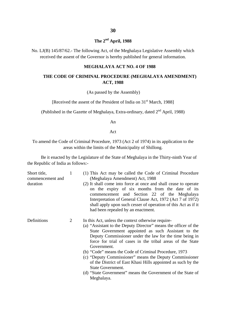## **The 2nd April, 1988**

No. LJ(B) 145/87/62.- The following Act, of the Meghalaya Legislative Assembly which received the assent of the Governor is hereby published for general information.

#### **MEGHALAYA ACT NO. 4 OF 1988**

#### **THE CODE OF CRIMINAL PROCEDURE (MEGHALAYA AMENDMENT) ACT, 1988**

(As passed by the Assembly)

[Received the assent of the President of India on 31<sup>st</sup> March, 1988]

(Published in the Gazette of Meghalaya, Extra-ordinary, dated 2<sup>nd</sup> April, 1988)

An

Act

To amend the Code of Criminal Procedure, 1973 (Act 2 of 1974) in its application to the areas within the limits of the Municipality of Shillong.

Be it enacted by the Legislature of the State of Meghalaya in the Thirty-ninth Year of the Republic of India as follows:-

| Short title,<br>commencement and<br>duration | $\mathbf{1}$ | (1) This Act may be called the Code of Criminal Procedure<br>(Meghalaya Amendment) Act, 1988<br>(2) It shall come into force at once and shall cease to operate<br>on the expiry of six months from the date of its<br>commencement and Section 22 of the Meghalaya<br>Interpretation of General Clause Act, 1972 (Act 7 of 1972)<br>shall apply upon such cesser of operation of this Act as if it<br>had been repealed by an enactment.                                                                                                                                                                 |
|----------------------------------------------|--------------|-----------------------------------------------------------------------------------------------------------------------------------------------------------------------------------------------------------------------------------------------------------------------------------------------------------------------------------------------------------------------------------------------------------------------------------------------------------------------------------------------------------------------------------------------------------------------------------------------------------|
| Definitions                                  | 2            | In this Act, unless the context otherwise require-<br>(a) "Assistant to the Deputy Director" means the officer of the<br>State Government appointed as such Assistant to the<br>Deputy Commissioner under the law for the time being in<br>force for trial of cases in the tribal areas of the State<br>Government.<br>(b) "Code" means the Code of Criminal Procedure, 1973<br>(c) "Deputy Commissioner" means the Deputy Commissioner<br>of the District of East Khasi Hills appointed as such by the<br>State Government.<br>(d) "State Government" means the Government of the State of<br>Meghalaya. |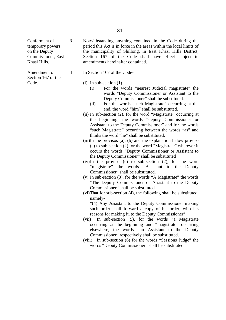Conferment of temporary powers on the Deputy Commissioner, East Khasi Hills.

3

4

Amendment of Section 167 of the Code.

Notwithstanding anything contained in the Code during the period this Act is in force in the areas within the local limits of the municipality of Shillong, in East Khasi Hills District, Section 167 of the Code shall have effect subject to amendments hereinafter contained.

- In Section 167 of the Code-
	- (i) In sub-section (1)
		- (i) For the words "nearest Judicial magistrate" the words "Deputy Commissioner or Assistant to the Deputy Commissioner" shall be substituted.
		- (ii) For the words "such Magistrate" occurring at the end, the word "him" shall be substituted.
	- (ii) In sub-section (2), for the word "Magistrate" occurring at the beginning, the words "deputy Commissioner or Assistant to the Deputy Commissioner" and for the words "such Magistrate" occurring between the words "as" and thinks the word "he" shall be substituted.
	- (iii)In the provisos (a), (b) and the explanation below proviso (c) to sub-section (2) for the word "Magistrate" wherever it occurs the words "Deputy Commissioner or Assistant to the Deputy Commissioner" shall be substituted
	- (iv)In the proviso (c) to sub-section (2), for the word "magistrate" the words "Assistant to the Deputy Commissioner" shall be substituted.
	- (v) In sub-section (3), for the words "A Magistrate" the words "The Deputy Commissioner or Assistant to the Deputy Commissioner" shall be substituted.
	- (vi)That for sub-section (4), the following shall be substituted, namely-

"(4) Any Assistant to the Deputy Commissioner making such order shall forward a copy of his order, with his reasons for making it, to the Deputy Commissioner"

- (vii) In sub-section (5), for the words "a Magistrate occurring at the beginning and "magistrate" occurring elsewhere, the words "an Assistant to the Deputy Commissioner" respectively shall be substituted.
- (viii) In sub-section (6) for the words "Sessions Judge" the words "Deputy Commissioner" shall be substituted.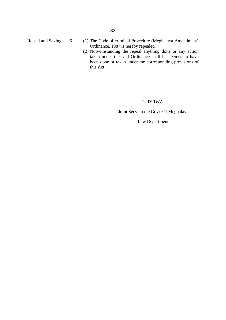- Repeal and Savings 5 (1) The Code of criminal Procedure (Meghalaya Amendment) Ordinance, 1987 is hereby repealed.
	- (2) Notwithstanding the repeal anything done or any action taken under the said Ordinance shall be deemed to have been done or taken under the corresponding provisions of this Act.

#### L. JYRWA

Joint Secy. to the Govt. Of Meghalaya

Law Department.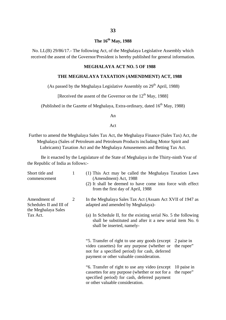## **The 16th May, 1988**

No. LL(B) 29/86/17.- The following Act, of the Meghalaya Legislative Assembly which received the assent of the Governor/President is hereby published for general information.

#### **MEGHALAYA ACT NO. 5 OF 1988**

#### **THE MEGHALAYA TAXATION (AMENDMENT) ACT, 1988**

(As passed by the Meghalaya Legislative Assembly on  $29<sup>th</sup>$  April, 1988)

[Received the assent of the Governor on the  $12<sup>th</sup>$  May, 1988]

(Published in the Gazette of Meghalaya, Extra-ordinary, dated  $16<sup>th</sup>$  May, 1988)

An

Act

Further to amend the Meghalaya Sales Tax Act, the Meghalaya Finance (Sales Tax) Act, the Meghalaya (Sales of Petroleum and Petroleum Products including Motor Spirit and Lubricants) Taxation Act and the Meghalaya Amusements and Betting Tax Act.

Be it enacted by the Legislature of the State of Meghalaya in the Thirty-ninth Year of the Republic of India as follows:-

| Short title and<br>commencement                                | $\mathbf{1}$ | (1) This Act may be called the Meghalaya Taxation Laws<br>(Amendment) Act, 1988<br>(2) It shall be deemed to have come into force with effect<br>from the first day of April, 1988           |                           |
|----------------------------------------------------------------|--------------|----------------------------------------------------------------------------------------------------------------------------------------------------------------------------------------------|---------------------------|
| Amendment of<br>Schedules II and III of<br>the Meghalaya Sales | 2            | In the Meghalaya Sales Tax Act (Assam Act XVII of 1947 as<br>adapted and amended by Meghalaya)-                                                                                              |                           |
| Tax Act.                                                       |              | (a) In Schedule II, for the existing serial No. 5 the following<br>shall be substituted and after it a new serial item No. 6<br>shall be inserted, namely-                                   |                           |
|                                                                |              | "5. Transfer of right to use any goods (except<br>video cassettes) for any purpose (whether or<br>not for a specified period) for cash, deferred<br>payment or other valuable consideration. | 2 paise in<br>the rupee"  |
|                                                                |              | "6. Transfer of right to use any video (except)<br>cassettes for any purpose (whether or not for a<br>specified period) for cash, deferred payment<br>or other valuable consideration.       | 10 paise in<br>the rupee" |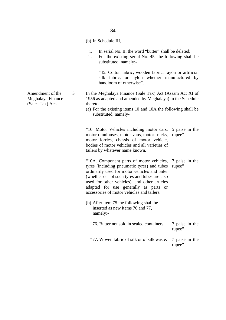(b) In Schedule III,-

- i. In serial No. II, the word "butter" shall be deleted;
- ii. For the existing serial No. 45, the following shall be substituted, namely:-

"45. Cotton fabric, wooden fabric, rayon or artificial silk fabric, or nylon whether manufactured by handloom of otherwise".

- 3 In the Meghalaya Finance (Sale Tax) Act (Assam Act XI of 1956 as adapted and amended by Meghalaya) in the Schedule thereto-
	- (a) For the existing items 10 and 10A the following shall be substituted, namely-

"10. Motor Vehicles including motor cars, 5 paise in the motor omnibuses, motor vans, motor trucks, rupee" motor lorries, chassis of motor vehicle, bodies of motor vehicles and all varieties of tailers by whatever name known.

"10A. Component parts of motor vehicles, 7 paise in the tyres (including pneumatic tyres) and tubes ordinarily used for motor vehicles and tailer (whether or not such tyres and tubes are also used for other vehicles), and other articles adapted for use generally as parts or accessories of motor vehicles and tailers. rupee"

- (b) After item 75 the following shall be inserted as new items 76 and 77, namely:-
	- "76. Butter not sold in sealed containers "77. Woven fabric of silk or of silk waste. 7 paise in the rupee" 7 paise in the

rupee"

Amendment of the Meghalaya Finance (Sales Tax) Act.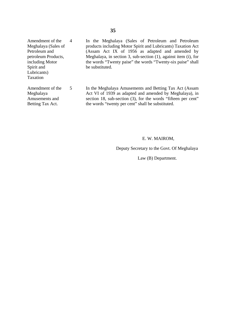Amendment of the Meghalaya (Sales of Petroleum and petroleum Products, including Motor Spirit and Lubricants) Taxation 4

Amendment of the

5

Meghalaya Amusements and Betting Tax Act.

In the Meghalaya (Sales of Petroleum and Petroleum products including Motor Spirit and Lubricants) Taxation Act (Assam Act IX of 1956 as adapted and amended by Meghalaya, in section 3, sub-section (1), against item (i), for the words "Twenty paise" the words "Twenty-six paise" shall be substituted.

In the Meghalaya Amusements and Betting Tax Act (Assam Act VI of 1939 as adapted and amended by Meghalaya), in section 18, sub-section (3), for the words "fifteen per cent" the words "twenty per cent" shall be substituted.

#### E. W. MAIROM,

Deputy Secretary to the Govt. Of Meghalaya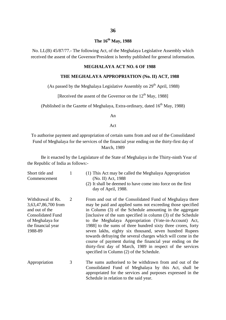## **The 16th May, 1988**

No. LL(B) 45/87/77.- The following Act, of the Meghalaya Legislative Assembly which received the assent of the Governor/President is hereby published for general information.

#### **MEGHALAYA ACT NO. 6 OF 1988**

#### **THE MEGHALAYA APPROPRIATION (No. II) ACT, 1988**

(As passed by the Meghalaya Legislative Assembly on  $29<sup>th</sup>$  April, 1988)

[Received the assent of the Governor on the  $12<sup>th</sup>$  May, 1988]

(Published in the Gazette of Meghalaya, Extra-ordinary, dated  $16<sup>th</sup>$  May, 1988)

An

Act

To authorise payment and appropriation of certain sums from and out of the Consolidated Fund of Meghalaya for the services of the financial year ending on the thirty-first day of March, 1989

Be it enacted by the Legislature of the State of Meghalaya in the Thirty-ninth Year of the Republic of India as follows:-

| Short title and<br>Commencement                                                                                                             | 1 | (1) This Act may be called the Meghalaya Appropriation<br>(No. II) Act, 1988<br>(2) It shall be deemed to have come into force on the first<br>day of April, 1988.                                                                                                                                                                                                                                                                                                                                                                                                                                                                                                            |
|---------------------------------------------------------------------------------------------------------------------------------------------|---|-------------------------------------------------------------------------------------------------------------------------------------------------------------------------------------------------------------------------------------------------------------------------------------------------------------------------------------------------------------------------------------------------------------------------------------------------------------------------------------------------------------------------------------------------------------------------------------------------------------------------------------------------------------------------------|
| Withdrawal of Rs.<br>3,63,47,86,700 from<br>and out of the<br><b>Consolidated Fund</b><br>of Meghalaya for<br>the financial year<br>1988-89 | 2 | From and out of the Consolidated Fund of Meghalaya there<br>may be paid and applied sums not exceeding those specified<br>in Column (3) of the Schedule amounting in the aggregate<br>[inclusive of the sum specified in column (3) of the Schedule<br>to the Meghalaya Appropriation (Vote-in-Account) Act,<br>1988] to the sums of three hundred sixty three crores, forty<br>seven lakhs, eighty six thousand, seven hundred Rupees<br>towards defraying the several charges which will come in the<br>course of payment during the financial year ending on the<br>thirty-first day of March, 1989 in respect of the services<br>specified in Column (2) of the Schedule. |
| Appropriation                                                                                                                               | 3 | The sums authorised to be withdrawn from and out of the<br>Consolidated Fund of Meghalaya by this Act, shall be<br>appropriated for the services and purposes expressed in the<br>Schedule in relation to the said year.                                                                                                                                                                                                                                                                                                                                                                                                                                                      |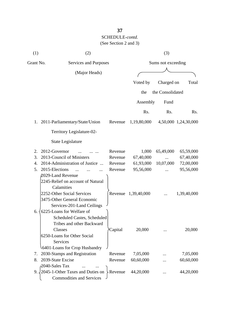## **37** SCHEDULE-*contd.* (See Section 2 and 3)

| (1)       | (2)                                | (3)                   |                     |                  |                      |  |  |  |
|-----------|------------------------------------|-----------------------|---------------------|------------------|----------------------|--|--|--|
| Grant No. |                                    | Services and Purposes |                     |                  | Sums not exceeding   |  |  |  |
|           | (Major Heads)                      |                       |                     |                  |                      |  |  |  |
|           |                                    |                       | Voted by            | Charged on       | Total                |  |  |  |
|           |                                    |                       |                     |                  |                      |  |  |  |
|           |                                    |                       | the                 | the Consolidated |                      |  |  |  |
|           |                                    |                       | Assembly            | Fund             |                      |  |  |  |
|           |                                    |                       | Rs.                 | Rs.              | Rs.                  |  |  |  |
| 1.        | 2011-Parliamentary/State/Union     | Revenue               | 1,19,80,000         |                  | 4,50,000 1,24,30,000 |  |  |  |
|           | Territory Legislature-02-          |                       |                     |                  |                      |  |  |  |
|           | <b>State Legislature</b>           |                       |                     |                  |                      |  |  |  |
| 2.        | 2012-Governor                      | Revenue               | 1,000               | 65,49,000        | 65,59,000            |  |  |  |
| 3.        | 2013-Council of Ministers          | Revenue               | 67,40,000           |                  | 67,40,000            |  |  |  |
| 4.        | 2014-Administration of Justice     | Revenue               | 61,93,000           | 10,07,000        | 72,00,000            |  |  |  |
| 5.        | 2015-Elections<br>$\ddotsc$        | Revenue               | 95,56,000           |                  | 95,56,000            |  |  |  |
|           | 2029-Land Revenue                  |                       |                     |                  |                      |  |  |  |
|           | 2245-Relief on account of Natural  |                       |                     |                  |                      |  |  |  |
|           | Calamities                         |                       |                     |                  |                      |  |  |  |
|           | 2252-Other Social Services         |                       | Revenue 1,39,40,000 |                  | 1,39,40,000          |  |  |  |
|           | 3475-Other General Economic        |                       |                     |                  |                      |  |  |  |
|           | Services-201-Land Ceilings         |                       |                     |                  |                      |  |  |  |
| 6.        | 6225-Loans for Welfare of          |                       |                     |                  |                      |  |  |  |
|           | <b>Scheduled Castes, Scheduled</b> |                       |                     |                  |                      |  |  |  |
|           | Tribes and other Backward          |                       |                     |                  |                      |  |  |  |
|           | Classes                            | Capital               | 20,000              |                  | 20,000               |  |  |  |
|           | 6250-Loans for Other Social        |                       |                     |                  |                      |  |  |  |
|           | <b>Services</b>                    |                       |                     |                  |                      |  |  |  |
|           | 6401-Loans for Crop Husbandry      |                       |                     |                  |                      |  |  |  |
| 7.        | 2030-Stamps and Registration       | Revenue               | 7,05,000            |                  | 7,05,000             |  |  |  |
| 8.        | 2039-State Excise                  | Revenue               | 60,60,000           |                  | 60,60,000            |  |  |  |
|           | 2040-Sales Tax                     |                       |                     |                  |                      |  |  |  |
| 9.        | 2045-1-Other Taxes and Duties on   | $\&$ Revenue          | 44,20,000           |                  | 44,20,000            |  |  |  |
|           | <b>Commodities and Services</b>    |                       |                     |                  |                      |  |  |  |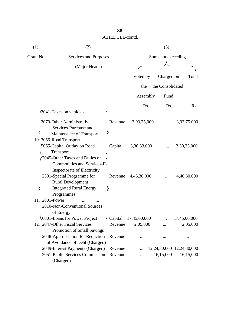| (1)<br>(2) |                                                                                                        | (3)     |                    |                  |                           |  |
|------------|--------------------------------------------------------------------------------------------------------|---------|--------------------|------------------|---------------------------|--|
| Grant No.  | Services and Purposes                                                                                  |         | Sums not exceeding |                  |                           |  |
|            | (Major Heads)                                                                                          |         |                    |                  |                           |  |
|            |                                                                                                        |         | Voted by           | Charged on       | Total                     |  |
|            |                                                                                                        |         | the                | the Consolidated |                           |  |
|            |                                                                                                        |         | Assembly           | Fund             |                           |  |
|            |                                                                                                        |         | Rs.                | Rs.              | Rs.                       |  |
|            | 2041-Taxes on vehicles                                                                                 |         |                    |                  |                           |  |
|            | 2070-Other Administrative<br>Services-Purchase and                                                     | Revenue | 3,93,75,000        |                  | 3,93,75,000               |  |
|            | Maintenance of Transport<br>10.3055-Road Transport<br>5055-Capital Outlay on Road<br>Transport         | Capital | 3,30,33,000        |                  | 3,30,33,000               |  |
|            | 2045-Other Taxes and Duties on<br><b>Commodities and Services-II-</b><br>Inspectorate of Electricity   |         |                    |                  |                           |  |
|            | 2501-Special Programme for<br><b>Rural Development</b><br><b>Integrated Rural Energy</b><br>Programmes | Revenue | 4,46,30,000        |                  | 4,46,30,000               |  |
| 11.        | 2801-Power<br>$\overline{\phantom{a}}$<br>2810-Non-Conventional Sources<br>of Energy                   |         |                    |                  |                           |  |
|            | 6801-Loans for Power Project                                                                           | Capital | 17,45,00,000       |                  | 17,45,00,000              |  |
|            | 12. 2047-Other Fiscal Services<br>Promotion of Small Savings                                           | Revenue | 2,05,000           |                  | 2,05,000                  |  |
|            | 2048-Appropriation for Reduction<br>of Avoidance of Debt (Charged)                                     | Revenue |                    |                  |                           |  |
|            | 2049-Interest Payments (Charged)                                                                       | Revenue |                    |                  | 12,24,30,000 12,24,30,000 |  |
|            | 2051-Public Services Commission<br>(Charged)                                                           | Revenue |                    | 16,15,000        | 16,15,000                 |  |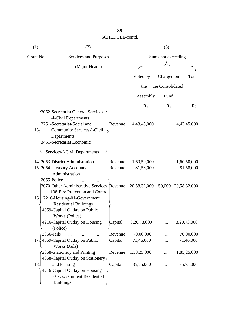| (1)<br>(2)                         |                                                                                                                                                                           | (3)     |              |                    |                     |  |
|------------------------------------|---------------------------------------------------------------------------------------------------------------------------------------------------------------------------|---------|--------------|--------------------|---------------------|--|
| Grant No.<br>Services and Purposes |                                                                                                                                                                           |         |              | Sums not exceeding |                     |  |
|                                    | (Major Heads)                                                                                                                                                             |         |              |                    |                     |  |
|                                    |                                                                                                                                                                           |         | Voted by     | Charged on         | Total               |  |
|                                    |                                                                                                                                                                           |         |              |                    |                     |  |
|                                    |                                                                                                                                                                           |         | the          | the Consolidated   |                     |  |
|                                    |                                                                                                                                                                           |         | Assembly     | Fund               |                     |  |
|                                    |                                                                                                                                                                           |         | Rs.          | Rs.                | Rs.                 |  |
| 13.                                | 2052-Secretariat General Services<br>-I-Civil Departments<br>2251-Secretariat-Social and<br><b>Community Services-I-Civil</b><br>Departments<br>3451-Secretariat Economic | Revenue | 4,43,45,000  |                    | 4,43,45,000         |  |
|                                    | <b>Services-I-Civil Departments</b>                                                                                                                                       |         |              |                    |                     |  |
|                                    | 14. 2053-District Administration                                                                                                                                          | Revenue | 1,60,50,000  |                    | 1,60,50,000         |  |
|                                    | 15. 2054-Treasury Accounts                                                                                                                                                | Revenue | 81,58,000    |                    | 81,58,000           |  |
| 2055-Police                        | Administration                                                                                                                                                            |         |              |                    |                     |  |
| 16.                                | 2070-Other Administrative Services Revenue<br>-108-Fire Protection and Control<br>2216-Housing-01-Government                                                              |         | 20,58,32,000 |                    | 50,000 20,58,82,000 |  |
|                                    | <b>Residential Buildings</b><br>4059-Capital Outlay on Public<br>Works (Police)                                                                                           |         |              |                    |                     |  |
|                                    | 4216-Capital Outlay on Housing<br>(Police)                                                                                                                                | Capital | 3,20,73,000  |                    | 3,20,73,000         |  |
| $2056$ -Jails                      |                                                                                                                                                                           | Revenue | 70,00,000    |                    | 70,00,000           |  |
|                                    | 17, 4059-Capital Outlay on Public<br>Works (Jails)                                                                                                                        | Capital | 71,46,000    |                    | 71,46,000           |  |
|                                    | 2058-Stationery and Printing<br>4058-Capital Outlay on Stationery                                                                                                         | Revenue | 1,58,25,000  |                    | 1,85,25,000         |  |
| 18.                                | and Printing<br>4216-Capital Outlay on Housing-<br>01-Government Residential<br><b>Buildings</b>                                                                          | Capital | 35,75,000    |                    | 35,75,000           |  |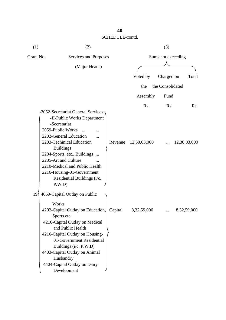| (1)             | (2)                                                                                                                                                                                                                                                                                                                                                   |         |              | (3)                |                  |
|-----------------|-------------------------------------------------------------------------------------------------------------------------------------------------------------------------------------------------------------------------------------------------------------------------------------------------------------------------------------------------------|---------|--------------|--------------------|------------------|
| Grant No.       | Services and Purposes                                                                                                                                                                                                                                                                                                                                 |         |              | Sums not exceeding |                  |
|                 | (Major Heads)                                                                                                                                                                                                                                                                                                                                         |         |              |                    |                  |
|                 |                                                                                                                                                                                                                                                                                                                                                       |         | Voted by     | Charged on         | Total            |
|                 |                                                                                                                                                                                                                                                                                                                                                       |         | the          | the Consolidated   |                  |
|                 |                                                                                                                                                                                                                                                                                                                                                       |         | Assembly     | Fund               |                  |
|                 |                                                                                                                                                                                                                                                                                                                                                       |         | Rs.          | Rs.                | R <sub>s</sub> . |
|                 | 2052-Secretariat General Services<br>-II-Public Works Department<br>-Secretariat<br>2059-Public Works<br>2202-General Education<br>.<br>2203-Techinical Education<br><b>Buildings</b><br>2204-Sports, etc., Buildings<br>2205-Art and Culture<br>2210-Medical and Public Health<br>2216-Housing-01-Government<br>Residential Buildings (i/c.<br>P.W.D | Revenue | 12,30,03,000 |                    | 12,30,03,000     |
| 19 <sub>1</sub> | 4059-Capital Outlay on Public<br>Works<br>4202-Capital Outlay on Education,<br>Sports etc<br>4210-Capital Outlay on Medical<br>and Public Health<br>4216-Capital Outlay on Housing-<br>01-Government Residential<br>Buildings (i/c. P.W.D)<br>4403-Capital Outlay on Animal<br>Husbandry<br>4404-Capital Outlay on Dairy<br>Development               | Capital | 8,32,59,000  |                    | 8,32,59,000      |

## **40**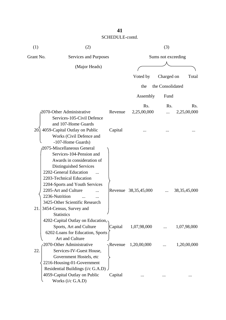| (1)<br>(2) |                                    | (3)     |                      |                  |                 |  |
|------------|------------------------------------|---------|----------------------|------------------|-----------------|--|
| Grant No.  | Services and Purposes              |         | Sums not exceeding   |                  |                 |  |
|            | (Major Heads)                      |         |                      |                  |                 |  |
|            |                                    |         | Voted by             | Charged on       | Total           |  |
|            |                                    |         |                      | the Consolidated |                 |  |
|            |                                    |         | the                  |                  |                 |  |
|            |                                    |         | Assembly             | Fund             |                 |  |
|            |                                    |         | Rs.                  | Rs.              | Rs.             |  |
|            | 2070-Other Administrative          | Revenue | 2,25,00,000          |                  | 2,25,00,000     |  |
|            | Services-105-Civil Defence         |         |                      |                  |                 |  |
|            | and 107-Home Guards                |         |                      |                  |                 |  |
| 20.        | 4059-Capital Outlay on Public      | Capital |                      |                  |                 |  |
|            | Works (Civil Defence and           |         |                      |                  |                 |  |
|            | -107-Home Guards)                  |         |                      |                  |                 |  |
|            | 2075-Miscellaneous General         |         |                      |                  |                 |  |
|            | Services-104-Pension and           |         |                      |                  |                 |  |
|            | Awards in consideration of         |         |                      |                  |                 |  |
|            | Distinguished Services             |         |                      |                  |                 |  |
|            | 2202-General Education             |         |                      |                  |                 |  |
|            | 2203-Technical Education           |         |                      |                  |                 |  |
|            | 2204-Sports and Youth Services     |         |                      |                  |                 |  |
|            | 2205-Art and Culture               |         | Revenue 38,35,45,000 |                  | 38, 35, 45, 000 |  |
|            | 2236-Nutrition                     |         |                      |                  |                 |  |
|            | 3425-Other Scientific Research     |         |                      |                  |                 |  |
| 21.        | 3454-Census, Survey and            |         |                      |                  |                 |  |
|            | <b>Statistics</b>                  |         |                      |                  |                 |  |
|            | 4202-Capital Outlay on Education,- |         |                      |                  |                 |  |
|            | Sports, Art and Culture            | Capital | 1,07,98,000          |                  | 1,07,98,000     |  |
|            | 6202-Loans for Education, Sports   |         |                      |                  |                 |  |
|            | Art and Culture                    |         |                      |                  |                 |  |
|            | 2070-Other Administrative          | Revenue | 1,20,00,000          |                  | 1,20,00,000     |  |
| 22.        | Services-IV-Guest House,           |         |                      |                  |                 |  |
|            | Government Hostels, etc            |         |                      |                  |                 |  |
|            | 2216-Housing-01-Government         |         |                      |                  |                 |  |
|            | Residential Buildings (i/c G.A.D). |         |                      |                  |                 |  |
|            | 4059-Capital Outlay on Public      | Capital |                      |                  |                 |  |
|            | Works (i/c G.A.D)                  |         |                      |                  |                 |  |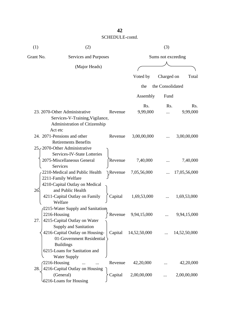| (1)                                | (2)                                                                                                              |                    | (3)             |                  |                 |  |
|------------------------------------|------------------------------------------------------------------------------------------------------------------|--------------------|-----------------|------------------|-----------------|--|
| Grant No.<br>Services and Purposes |                                                                                                                  | Sums not exceeding |                 |                  |                 |  |
|                                    | (Major Heads)                                                                                                    |                    |                 |                  |                 |  |
|                                    |                                                                                                                  |                    | Voted by        | Charged on       | Total           |  |
|                                    |                                                                                                                  |                    | the             | the Consolidated |                 |  |
|                                    |                                                                                                                  |                    |                 |                  |                 |  |
|                                    |                                                                                                                  |                    | Assembly        | Fund             |                 |  |
|                                    | 23. 2070-Other Administrative<br>Services-V-Training, Vigilance,<br>Administration of Citizenship                | Revenue            | Rs.<br>9,99,000 | Rs.              | Rs.<br>9,99,000 |  |
|                                    | Act etc<br>24. 2071-Pensions and other<br><b>Retirements Benefits</b><br>25. 2070-Other Administrative           | Revenue            | 3,00,00,000     |                  | 3,00,00,000     |  |
|                                    | Services-IV-State Lotteries<br>2075-Miscellaneous General<br>Services                                            | Revenue            | 7,40,000        |                  | 7,40,000        |  |
|                                    | 2210-Medical and Public Health<br>2211-Family Welfare<br>4210-Capital Outlay on Medical                          | Revenue            | 7,05,56,000     |                  | 17,05,56,000    |  |
| 26                                 | and Public Health<br>4211-Capital Outlay on Family<br>Welfare                                                    | Capital            | 1,69,53,000     |                  | 1,69,53,000     |  |
| 27.                                | 2215-Water Supply and Sanitation<br>2216-Housing<br>4215-Capital Outlay on Water                                 | Revenue            | 9,94,15,000     |                  | 9,94,15,000     |  |
|                                    | <b>Supply and Sanitation</b><br>4216-Capital Outlay on Housing-<br>01-Government Residential<br><b>Buildings</b> | Capital            | 14,52,50,000    |                  | 14,52,50,000    |  |
|                                    | 6215-Loans for Sanitation and<br><b>Water Supply</b>                                                             |                    |                 |                  |                 |  |
| 28.                                | 2216-Housing<br>4216-Capital Outlay on Housing                                                                   | Revenue            | 42,20,000       |                  | 42,20,000       |  |
|                                    | (General)<br>6216-Loans for Housing                                                                              | Capital            | 2,00,00,000     |                  | 2,00,00,000     |  |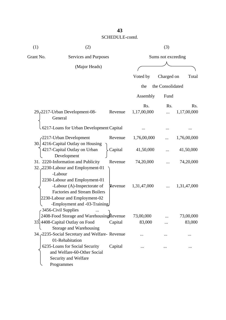| (1)       | (2)                                                                                                                                 |         | (3)                 |                  |                     |
|-----------|-------------------------------------------------------------------------------------------------------------------------------------|---------|---------------------|------------------|---------------------|
| Grant No. | Services and Purposes                                                                                                               |         | Sums not exceeding  |                  |                     |
|           | (Major Heads)                                                                                                                       |         |                     |                  |                     |
|           |                                                                                                                                     |         | Voted by            | Charged on       | Total               |
|           |                                                                                                                                     |         | the                 | the Consolidated |                     |
|           |                                                                                                                                     |         | Assembly            | Fund             |                     |
|           | 29-2217-Urban Development-08-<br>General                                                                                            | Revenue | Rs.<br>1,17,00,000  | Rs.              | Rs.<br>1,17,00,000  |
|           | 6217-Loans for Urban Development Capital                                                                                            |         |                     |                  |                     |
|           | -2217-Urban Development<br>30. 4216-Capital Outlay on Housing                                                                       | Revenue | 1,76,00,000         |                  | 1,76,00,000         |
|           | 4217-Capital Outlay on Urban<br>Development                                                                                         | Capital | 41,50,000           |                  | 41,50,000           |
|           | 31. 2220-Information and Publicity<br>32. 2230-Labour and Employment-01<br>-Labour<br>2230-Labour and Employment-01                 | Revenue | 74,20,000           |                  | 74,20,000           |
|           | -Labour (A)-Inspectorate of<br><b>Factories and Stream Boilers</b><br>2230-Labour and Employment-02<br>-Employment and -03-Training | Revenue | 1,31,47,000         |                  | 1,31,47,000         |
|           | 3456-Civil Supplies<br>2408-Food Storage and Warehousing Revenue                                                                    |         |                     |                  |                     |
|           | 33.4408-Capital Outlay on Food<br>Storage and Warehousing                                                                           | Capital | 73,00,000<br>83,000 | .                | 73,00,000<br>83,000 |
|           | 34. 2235-Social Secretary and Welfare- Revenue<br>01-Rehabitation                                                                   |         |                     |                  |                     |
|           | 6235-Loans for Social Security<br>and Welfare-60-Other Social<br>Security and Welfare<br>Programmes                                 | Capital |                     |                  |                     |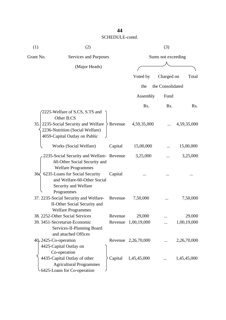| (1)             | (2)                                                                                                                                                      |                       | (3)                 |                    |             |  |  |
|-----------------|----------------------------------------------------------------------------------------------------------------------------------------------------------|-----------------------|---------------------|--------------------|-------------|--|--|
| Grant No.       |                                                                                                                                                          | Services and Purposes |                     | Sums not exceeding |             |  |  |
|                 | (Major Heads)                                                                                                                                            |                       |                     |                    |             |  |  |
|                 |                                                                                                                                                          |                       | Voted by            | Charged on         | Total       |  |  |
|                 |                                                                                                                                                          |                       | the                 | the Consolidated   |             |  |  |
|                 |                                                                                                                                                          |                       | Assembly            | Fund               |             |  |  |
|                 |                                                                                                                                                          |                       | Rs.                 | Rs.                | Rs.         |  |  |
|                 | 2225-Welfare of S.CS, S.TS and<br>Other B.CS<br>35. 2235-Social Security and Welfare<br>2236-Nutrition (Social Welfare)<br>4059-Capital Outlay on Public | $\angle$ Revenue      | 4,59,35,000         |                    | 4,59,35,000 |  |  |
|                 | Works (Social Welfare)                                                                                                                                   | Capital               | 15,00,000           |                    | 15,00,000   |  |  |
|                 | 2235-Social Security and Welfare-Revenue<br>60-Other Social Security and<br><b>Welfare Programmes</b>                                                    |                       | 3,25,000            |                    | 3,25,000    |  |  |
| $36\frac{2}{3}$ | 6235-Loans for Social Security<br>and Welfare-60-Other Social<br>Security and Welfare                                                                    | Capital               |                     |                    |             |  |  |
|                 | Programmes<br>37. 2235-Social Security and Welfare-<br>II-Other Social Security and<br><b>Welfare Programmes</b>                                         | Revenue               | 7,50,000            |                    | 7,50,000    |  |  |
|                 | 38. 2252-Other Social Services                                                                                                                           | Revenue               | 29,000              |                    | 29,000      |  |  |
|                 | 39. 3451-Secretariat-Economic<br>Services-II-Planning Board<br>and attached Offices                                                                      | Revenue               | 1,00,19,000         |                    | 1,00,19,000 |  |  |
|                 | $40,2425$ -Co-operation<br>4425-Capital Outlay on<br>Co-operation                                                                                        |                       | Revenue 2,26,70,000 |                    | 2,26,70,000 |  |  |
|                 | 4435-Capital Outlay of other<br><b>Agricultural Programmes</b><br>6425-Loans for Co-operation                                                            | Capital               | 1,45,45,000         |                    | 1,45,45,000 |  |  |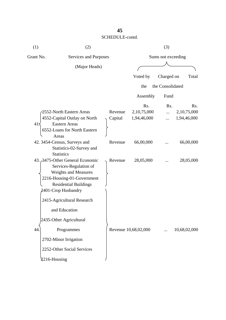| (1)                                | (2)                                                                                                                                                                                                                                                     |                    |                                   | (3)                |                                                |  |
|------------------------------------|---------------------------------------------------------------------------------------------------------------------------------------------------------------------------------------------------------------------------------------------------------|--------------------|-----------------------------------|--------------------|------------------------------------------------|--|
| Grant No.<br>Services and Purposes |                                                                                                                                                                                                                                                         |                    |                                   | Sums not exceeding |                                                |  |
|                                    | (Major Heads)                                                                                                                                                                                                                                           |                    |                                   |                    |                                                |  |
|                                    |                                                                                                                                                                                                                                                         |                    | Voted by                          | Charged on         | Total                                          |  |
|                                    |                                                                                                                                                                                                                                                         |                    | the                               | the Consolidated   |                                                |  |
|                                    |                                                                                                                                                                                                                                                         |                    | Assembly                          | Fund               |                                                |  |
| $41\leq$<br>Areas                  | 2552-North Eastern Areas<br>4552-Capital Outlay on North<br><b>Eastern Areas</b><br>6552-Loans for North Eastern                                                                                                                                        | Revenue<br>Capital | Rs.<br>2,10,75,000<br>1,94,46,000 | Rs.                | R <sub>s</sub> .<br>2,10,75,000<br>1,94,46,000 |  |
|                                    | 42. 3454-Census, Surveys and<br>Statistics-02-Survey and<br><b>Statistics</b>                                                                                                                                                                           | Revenue            | 66,00,000                         |                    | 66,00,000                                      |  |
|                                    | 43. 3475-Other General Economic<br>Services-Regulation of<br><b>Weights and Measures</b><br>2216-Housing-01-Government<br><b>Residential Buildings</b><br>2401-Crop Husbandry<br>2415-Agricultural Research<br>and Education<br>2435-Other Agricultural | Revenue            | 28,05,000                         |                    | 28,05,000                                      |  |
| 44<br>2216-Housing                 | Programmes<br>2702-Minor Irrigation<br>2252-Other Social Services                                                                                                                                                                                       |                    | Revenue 10,68,02,000              |                    | 10,68,02,000                                   |  |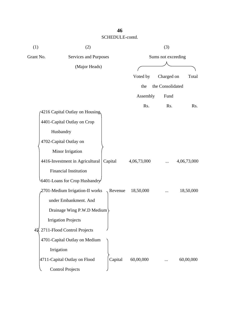| (1)       | (2)                             |         | (3)                |                  |             |  |
|-----------|---------------------------------|---------|--------------------|------------------|-------------|--|
| Grant No. | Services and Purposes           |         | Sums not exceeding |                  |             |  |
|           | (Major Heads)                   |         |                    |                  |             |  |
|           |                                 |         | Voted by           | Charged on       | Total       |  |
|           |                                 |         | the                | the Consolidated |             |  |
|           |                                 |         | Assembly           | Fund             |             |  |
|           |                                 |         | Rs.                | Rs.              | Rs.         |  |
|           | 4216 Capital Outlay on Housing  |         |                    |                  |             |  |
|           | 4401-Capital Outlay on Crop     |         |                    |                  |             |  |
|           | Husbandry                       |         |                    |                  |             |  |
|           | 4702-Capital Outlay on          |         |                    |                  |             |  |
|           | Minor Irrigation                |         |                    |                  |             |  |
|           | 4416-Investment in Agricultural | Capital | 4,06,73,000        |                  | 4,06,73,000 |  |
|           | <b>Financial Institution</b>    |         |                    |                  |             |  |
|           | 6401-Loans for Crop Husbandry   |         |                    |                  |             |  |
|           | 2701-Medium Irrigation-II works | Revenue | 18,50,000          |                  | 18,50,000   |  |
|           | under Embankment. And           |         |                    |                  |             |  |
|           | Drainage Wing P.W.D Medium      |         |                    |                  |             |  |
|           | <b>Irrigation Projects</b>      |         |                    |                  |             |  |
|           | 45. 2711-Flood Control Projects |         |                    |                  |             |  |
|           | 4701-Capital Outlay on Medium   |         |                    |                  |             |  |
|           | Irrigation                      |         |                    |                  |             |  |
|           | 4711-Capital Outlay on Flood    | Capital | 60,00,000          |                  | 60,00,000   |  |
|           | <b>Control Projects</b>         |         |                    |                  |             |  |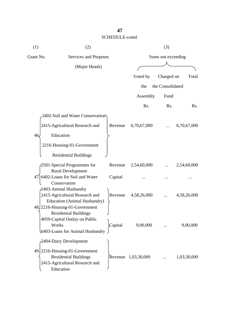| (1)<br>(2)                         |                                                                | (3)     |                     |                  |             |  |
|------------------------------------|----------------------------------------------------------------|---------|---------------------|------------------|-------------|--|
| Grant No.<br>Services and Purposes |                                                                |         | Sums not exceeding  |                  |             |  |
|                                    | (Major Heads)                                                  |         |                     |                  |             |  |
|                                    |                                                                |         | Voted by            | Charged on       | Total       |  |
|                                    |                                                                |         | the                 | the Consolidated |             |  |
|                                    |                                                                |         | Assembly            | Fund             |             |  |
|                                    |                                                                |         | Rs.                 | Rs.              | Rs.         |  |
|                                    | 2402-Soil and Water Conservation                               |         |                     |                  |             |  |
|                                    | 2415-Agricultural Research and                                 | Revenue | 6,70,67,000         |                  | 6,70,67,000 |  |
| 46.                                | Education                                                      |         |                     |                  |             |  |
|                                    | 2216-Housing-01-Government                                     |         |                     |                  |             |  |
|                                    | <b>Residential Buildings</b>                                   |         |                     |                  |             |  |
|                                    | 2501-Special Programmes for                                    | Revenue | 2,54,60,000         |                  | 2,54,60,000 |  |
|                                    | <b>Rural Development</b>                                       |         |                     |                  |             |  |
| 47.                                | 6402-Loans for Soil and Water                                  | Capital |                     |                  |             |  |
|                                    | Conservation<br>2403-Animal Husbandry                          |         |                     |                  |             |  |
|                                    | 2415-Agricultural Research and                                 | Revenue | 4,58,26,000         |                  | 4,58,26,000 |  |
|                                    | <b>Education (Animal Husbandry)</b>                            |         |                     |                  |             |  |
|                                    | 48. 2216-Housing-01-Government<br><b>Residential Buildings</b> |         |                     |                  |             |  |
|                                    | 4059-Capital Outlay on Public                                  |         |                     |                  |             |  |
|                                    | Works                                                          | Capital | 9,00,000            |                  | 9,00,000    |  |
|                                    | 6403-Loans for Animal Husbandry                                |         |                     |                  |             |  |
|                                    | 2404-Dairy Development                                         |         |                     |                  |             |  |
|                                    | 49. 2216-Housing-01-Government                                 |         |                     |                  |             |  |
|                                    | <b>Residential Buildings</b>                                   |         | Revenue 1,03,30,000 |                  | 1,03,30,000 |  |
|                                    | 2415-Agricultural Research and                                 |         |                     |                  |             |  |
|                                    | Education                                                      |         |                     |                  |             |  |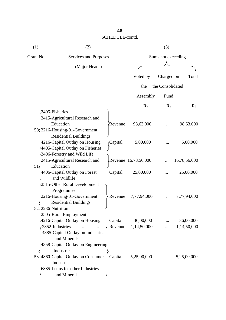| (1)                | (2)                                                                                                                                                           |                    |                          | (3)              |                          |  |  |
|--------------------|---------------------------------------------------------------------------------------------------------------------------------------------------------------|--------------------|--------------------------|------------------|--------------------------|--|--|
| Grant No.          | Services and Purposes                                                                                                                                         |                    | Sums not exceeding       |                  |                          |  |  |
|                    | (Major Heads)                                                                                                                                                 |                    |                          |                  |                          |  |  |
|                    |                                                                                                                                                               |                    | Voted by                 | Charged on       | Total                    |  |  |
|                    |                                                                                                                                                               |                    | the                      | the Consolidated |                          |  |  |
|                    |                                                                                                                                                               |                    | Assembly                 | Fund             |                          |  |  |
|                    |                                                                                                                                                               |                    | Rs.                      | Rs.              | Rs.                      |  |  |
| 2405-Fisheries     |                                                                                                                                                               |                    |                          |                  |                          |  |  |
|                    | 2415-Agricultural Research and<br>Education<br>50 2216-Housing-01-Government                                                                                  | Revenue            | 98,63,000                |                  | 98,63,000                |  |  |
|                    | <b>Residential Buildings</b><br>4216-Capital Outlay on Housing<br>4405-Capital Outlay on Fisheries                                                            | Capital            | 5,00,000                 |                  | 5,00,000                 |  |  |
| 51                 | 2406-Forestry and Wild Life<br>2415-Agricultural Research and<br>Education                                                                                    |                    | Revenue 16,78,56,000     |                  | 16,78,56,000             |  |  |
|                    | 4406-Capital Outlay on Forest<br>and Wildlife                                                                                                                 | Capital            | 25,00,000                |                  | 25,00,000                |  |  |
| 52. 2236-Nutrition | 2515-Other Rural Development<br>Programmes<br>2216-Housing-01-Government<br><b>Residential Buildings</b>                                                      | Revenue            | 7,77,94,000              |                  | 7,77,94,000              |  |  |
| 2852-Industries    | 2505-Rural Employment<br>4216-Capital Outlay on Housing<br>4885-Capital Outlay on Industries<br>and Minerals                                                  | Capital<br>Revenue | 36,00,000<br>1,14,50,000 |                  | 36,00,000<br>1,14,50,000 |  |  |
|                    | 4858-Capital Outlay on Engineering<br><b>Industries</b><br>53.4860-Capital Outlay on Consumer<br>Industries<br>6885-Loans for other Industries<br>and Mineral | Capital            | 5,25,00,000              |                  | 5,25,00,000              |  |  |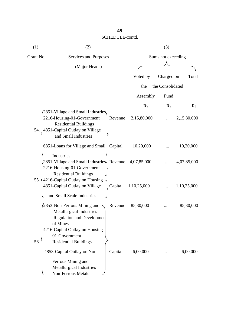| (1)       | (2)                                                                                                                                                       |         |             | (3)                |             |
|-----------|-----------------------------------------------------------------------------------------------------------------------------------------------------------|---------|-------------|--------------------|-------------|
| Grant No. | Services and Purposes                                                                                                                                     |         |             | Sums not exceeding |             |
|           | (Major Heads)                                                                                                                                             |         |             |                    |             |
|           |                                                                                                                                                           |         | Voted by    | Charged on         | Total       |
|           |                                                                                                                                                           |         | the         | the Consolidated   |             |
|           |                                                                                                                                                           |         | Assembly    | Fund               |             |
|           |                                                                                                                                                           |         | Rs.         | Rs.                | Rs.         |
| 54.       | 2851-Village and Small Industries<br>2216-Housing-01-Government<br><b>Residential Buildings</b><br>4851-Capital Outlay on Village<br>and Small Industries | Revenue | 2,15,80,000 |                    | 2,15,80,000 |
|           | 6851-Loans for Village and Small                                                                                                                          | Capital | 10,20,000   |                    | 10,20,000   |
| 55.4      | Industries<br>2851-Village and Small Industries, Revenue<br>2216-Housing-01-Government<br><b>Residential Buildings</b><br>4216-Capital Outlay on Housing  |         | 4,07,85,000 |                    | 4,07,85,000 |
|           | 4851-Capital Outlay on Village                                                                                                                            | Capital | 1,10,25,000 |                    | 1,10,25,000 |
|           | and Small Scale Industries<br>2853-Non-Ferrous Mining and<br><b>Metallurgical Industries</b><br>Regulation and Development                                | Revenue | 85,30,000   |                    | 85,30,000   |
| 56.       | of Mines<br>4216-Capital Outlay on Housing-<br>01-Government<br><b>Residential Buildings</b><br>4853-Capital Outlay on Non-                               | Capital | 6,00,000    |                    | 6,00,000    |
|           | Ferrous Mining and<br>Metallurgical Industries<br><b>Non-Ferrous Metals</b>                                                                               |         |             |                    |             |

## **49**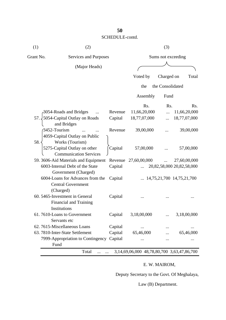| (1)       | (2)                                                                             |                    | (3)              |                  |                                    |
|-----------|---------------------------------------------------------------------------------|--------------------|------------------|------------------|------------------------------------|
| Grant No. | Services and Purposes                                                           | Sums not exceeding |                  |                  |                                    |
|           | (Major Heads)                                                                   |                    |                  |                  |                                    |
|           |                                                                                 |                    |                  |                  |                                    |
|           |                                                                                 |                    | Voted by         | Charged on       | Total                              |
|           |                                                                                 |                    | the              | the Consolidated |                                    |
|           |                                                                                 |                    | Assembly         | Fund             |                                    |
|           |                                                                                 |                    | R <sub>s</sub> . | Rs.              | Rs.                                |
|           | 3054-Roads and Bridges                                                          | Revenue            | 11,66,20,000     |                  | 11,66,20,000                       |
| 57.1      | 5054-Capital Outlay on Roads<br>and Bridges                                     | Capital            | 18,77,07,000     |                  | 18,77,07,000                       |
|           | 3452-Tourism                                                                    | Revenue            | 39,00,000        |                  | 39,00,000                          |
| 58.       | 4059-Capital Outlay on Public<br>Works (Tourism)                                |                    |                  |                  |                                    |
|           | 5275-Capital Outlay on other<br><b>Communication Services</b>                   | Capital            | 57,00,000        |                  | 57,00,000                          |
|           | 59. 3606-Aid Materials and Equipment                                            | Revenue            | 27,60,00,000     |                  | 27,60,00,000                       |
|           | 6003-Internal Debt of the State<br>Government (Charged)                         | Capital            |                  |                  | 20,82,58,000 20,82,58,000          |
|           | 6004-Loans for Advances from the<br><b>Central Government</b><br>(Charged)      | Capital            |                  |                  | $\ldots$ 14,75,21,700 14,75,21,700 |
|           | 60. 5465-Investment in General<br><b>Financial and Training</b><br>Institutions | Capital            |                  |                  |                                    |
|           | 61.7610-Loans to Government<br>Servants etc                                     | Capital            | 3,18,00,000      |                  | 3,18,00,000                        |
|           | 62.7615-Miscellaneous Loans                                                     | Capital            |                  |                  |                                    |
|           | 63. 7810-Inter-State Settlement                                                 | Capital            | 65,46,000        |                  | 65,46,000                          |
|           | 7999-Appropriation to Contingency Capital<br>Fund                               |                    |                  |                  | $\cdots$                           |

## E. W. MAIROM,

Deputy Secretary to the Govt. Of Meghalaya,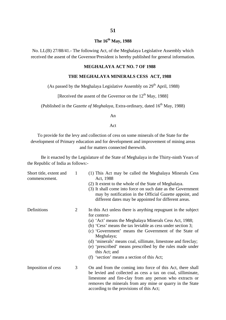## **The 16th May, 1988**

No. LL(B) 27/88/41.- The following Act, of the Meghalaya Legislative Assembly which received the assent of the Governor/President is hereby published for general information.

#### **MEGHALAYA ACT NO. 7 OF 1988**

#### **THE MEGHALAYA MINERALS CESS ACT, 1988**

(As passed by the Meghalaya Legislative Assembly on  $29<sup>th</sup>$  April, 1988)

[Received the assent of the Governor on the  $12<sup>th</sup>$  May, 1988]

(Published in the *Gazette of Meghalaya*, Extra-ordinary, dated 16<sup>th</sup> May, 1988)

An

Act

To provide for the levy and collection of cess on some minerals of the State for the development of Primary education and for development and improvement of mining areas and for matters connected therewith.

Be it enacted by the Legislature of the State of Meghalaya in the Thirty-ninth Years of the Republic of India as follows:-

| Short title, extent and<br>commencement. | 1              | (1) This Act may be called the Meghalaya Minerals Cess<br>Act, 1988                                                                                                              |
|------------------------------------------|----------------|----------------------------------------------------------------------------------------------------------------------------------------------------------------------------------|
|                                          |                | (2) It extent to the whole of the State of Meghalaya.                                                                                                                            |
|                                          |                | (3) It shall come into force on such date as the Government<br>may by notification in the Official Gazette appoint, and<br>different dates may be appointed for different areas. |
| Definitions                              | $\overline{2}$ | In this Act unless there is anything repugnant in the subject<br>for context-                                                                                                    |
|                                          |                | (a) 'Act' means the Meghalaya Minerals Cess Act, 1988;                                                                                                                           |
|                                          |                | (b) 'Cess' means the tax leviable as cess under section 3;                                                                                                                       |
|                                          |                | (c) 'Government' means the Government of the State of<br>Meghalaya;                                                                                                              |
|                                          |                | (d) 'minerals' means coal, sillimate, limestone and fireclay;                                                                                                                    |
|                                          |                | (e) 'prescribed' means prescribed by the rules made under<br>this Act; and                                                                                                       |
|                                          |                | (f) 'section' means a section of this Act;                                                                                                                                       |
| Imposition of cess                       | 3              | On and from the coming into force of this Act, there shall                                                                                                                       |
|                                          |                | be levied and collected as cess a tax on coal, silliminate,                                                                                                                      |
|                                          |                | limestone and fire-clay from any person who extracts or                                                                                                                          |
|                                          |                | removes the minerals from any mine or quarry in the State                                                                                                                        |
|                                          |                | according to the provisions of this Act;                                                                                                                                         |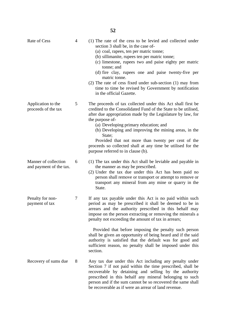| Rate of Cess                                    | $\overline{4}$ | (1) The rate of the cess to be levied and collected under<br>section 3 shall be, in the case of-<br>(a) coal, rapees, ten per matric tonne;<br>(b) sillimanite, rupees ten per matric tonne;<br>(c) limestone, rupees two and paise eighty per matric<br>tonne; and<br>(d) fire clay, rupees one and paise twenty-five per<br>matric tonne.<br>$(2)$ The rate of cess fixed under sub-section $(1)$ may from<br>time to time be revised by Government by notification<br>in the official Gazette. |
|-------------------------------------------------|----------------|---------------------------------------------------------------------------------------------------------------------------------------------------------------------------------------------------------------------------------------------------------------------------------------------------------------------------------------------------------------------------------------------------------------------------------------------------------------------------------------------------|
| Application to the<br>proceeds of the tax       | 5              | The proceeds of tax collected under this Act shall first be.<br>credited to the Consolidated Fund of the State to be utilised,<br>after due appropriation made by the Legislature by law, for<br>the purpose of-<br>(a) Developing primary education; and<br>(b) Developing and improving the mining areas, in the<br>State;<br>Provided that not more than twenty per cent of the<br>proceeds so collected shall at any time be utilised for the<br>purpose referred to in clause (b).           |
| Manner of collection<br>and payment of the tax. | 6              | (1) The tax under this Act shall be leviable and payable in<br>the manner as may be prescribed.<br>(2) Under the tax due under this Act has been paid no<br>person shall remove or transport or attempt to remove or<br>transport any mineral from any mine or quarry in the<br>State.                                                                                                                                                                                                            |
| Penalty for non-<br>payment of tax              | 7              | If any tax payable under this Act is no paid within such<br>period as may be prescribed it shall be deemed to be in<br>arrears and the authority prescribed in this behalf may<br>impose on the person extracting or removing the minerals a<br>penalty not exceeding the amount of tax in arrears;                                                                                                                                                                                               |
|                                                 |                | Provided that before imposing the penalty such person<br>shall be given an opportunity of being heard and if the said<br>authority is satisfied that the default was for good and<br>sufficient reason, no penalty shall be imposed under this<br>section.                                                                                                                                                                                                                                        |
| Recovery of sums due                            | 8              | Any tax due under this Act including any penalty under<br>Section 7 if not paid within the time prescribed, shall be<br>recoverable by detaining and selling by the authority<br>prescribed in this behalf any mineral belonging to such<br>person and if the sum cannot be so recovered the same shall<br>be recoverable as if were an arrear of land revenue.                                                                                                                                   |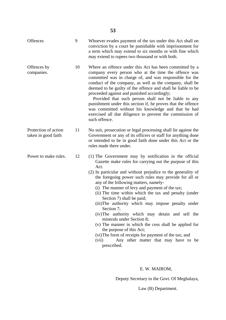| <b>Offences</b>                             | 9  | Whoever evades payment of the tax under this Act shall on<br>conviction by a court be punishable with imprisonment for<br>a term which may extend to six months or with fine which<br>may extend to rupees two thousand or with both.                                                                                                                                                                                                                                                                                                                                                                                                                                                                                                                                                                  |
|---------------------------------------------|----|--------------------------------------------------------------------------------------------------------------------------------------------------------------------------------------------------------------------------------------------------------------------------------------------------------------------------------------------------------------------------------------------------------------------------------------------------------------------------------------------------------------------------------------------------------------------------------------------------------------------------------------------------------------------------------------------------------------------------------------------------------------------------------------------------------|
| Offences by<br>companies.                   | 10 | Where an offence under this Act has been committed by a<br>company every person who at the time the offence was<br>committed was in charge of, and was responsible for the<br>conduct of the company, as well as the company, shall be<br>deemed to be guilty of the offence and shall be liable to be<br>proceeded against and punished accordingly;<br>Provided that such person shall not be liable to any<br>punishment under this section if, he proves that the offence<br>was committed without his knowledge and that he had<br>exercised all due diligence to prevent the commission of<br>such offence.                                                                                                                                                                                      |
| Protection of action<br>taken in good faith | 11 | No suit, prosecution or legal processing shall lie against the<br>Government or any of its officers or staff for anything done<br>or intended to be in good faith done under this Act or the<br>rules made there under.                                                                                                                                                                                                                                                                                                                                                                                                                                                                                                                                                                                |
| Power to make rules.                        | 12 | (1) The Government may by notification in the official<br>Gazette make rules for carrying out the purpose of this<br>Act.<br>(2) In particular and without prejudice to the generality of<br>the foregoing power such rules may provide for all or<br>any of the following matters, namely-<br>(i) The manner of levy and payment of the tax;<br>(ii) The time within which the tax and penalty (under<br>Section 7) shall be paid;<br>(iii) The authority which may impose penalty under<br>Section 7;<br>(iv) The authority which may detain and sell the<br>minerals under Section 8;<br>(v) The manner in which the cess shall be applied for<br>the purpose of this Act;<br>(vi) The form of receipts for payment of the tax; and<br>Any other matter that may have to be<br>(vii)<br>prescribed. |

## E. W. MAIROM,

Deputy Secretary to the Govt. Of Meghalaya,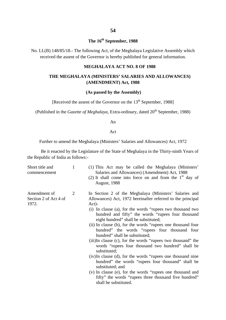## **The 16th September, 1988**

No. LL(B) 148/85/18.- The following Act, of the Meghalaya Legislative Assembly which received the assent of the Governor is hereby published for general information.

#### **MEGHALAYA ACT NO. 8 OF 1988**

#### **THE MEGHALAYA (MINISTERS' SALARIES AND ALLOWANCES) (AMENDMENT) Act, 1988**

#### **(As passed by the Assembly)**

[Received the assent of the Governor on the 13<sup>th</sup> September, 1988]

(Published in the *Gazette of Meghalaya*, Extra-ordinary, dated 20<sup>th</sup> September, 1988)

An

Act

Further to amend the Meghalaya (Ministers' Salaries and Allowances) Act, 1972

Be it enacted by the Legislature of the State of Meghalaya in the Thirty-ninth Years of the Republic of India as follows:-

| Short title and<br>commencement                | $\mathbf{1}$ | (1) This Act may be called the Meghalaya (Ministers'<br>Salaries and Allowances) (Amendment) Act, 1988<br>(2) It shall come into force on and from the $1st$ day of<br><b>August, 1988</b> |
|------------------------------------------------|--------------|--------------------------------------------------------------------------------------------------------------------------------------------------------------------------------------------|
| Amendment of<br>Section 2 of Act 4 of<br>1972. | 2            | In Section 2 of the Meghalaya (Ministers' Salaries and<br>Allowances) Act, 1972 hereinafter referred to the principal<br>$Act)$ -                                                          |
|                                                |              | (i) In clause (a), for the words "rupees two thousand two<br>hundred and fifty" the words "rupees four thousand<br>eight hundred" shall be substituted;                                    |
|                                                |              | (ii) In clause (b), for the words "rupees one thousand four<br>hundred" the words "rupees four thousand four<br>hundred" shall be substituted;                                             |
|                                                |              | (iii)In clause (c), for the words "rupees two thousand" the<br>words "rupees four thousand two hundred" shall be<br>substituted;                                                           |
|                                                |              | (iv) In clause (d), for the words "rupees one thousand nine<br>hundred" the words "rupees four thousand" shall be<br>substituted; and                                                      |
|                                                |              | (v) In clause (e), for the words "rupees one thousand and<br>fifty" the words "rupees three thousand five hundred"<br>shall be substituted.                                                |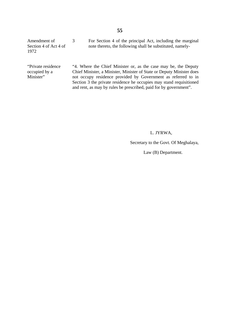Amendment of Section 4 of Act 4 of 1972 3 For Section 4 of the principal Act, including the marginal note thereto, the following shall be substituted, namely-

"Private residence occupied by a Minister"

"4. Where the Chief Minister or, as the case may be, the Deputy Chief Minister, a Minister, Minister of State or Deputy Minister does not occupy residence provided by Government as referred to in Section 3 the private residence he occupies may stand requisitioned and rent, as may by rules be prescribed, paid for by government".

#### L. JYRWA,

Secretary to the Govt. Of Meghalaya,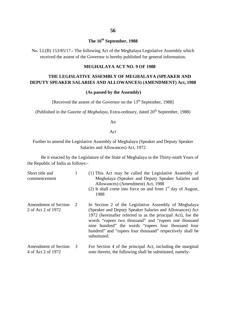#### **56**

## **The 16th September, 1988**

No. LL(B) 153/85/17.- The following Act of the Meghalaya Legislative Assembly which received the assent of the Governor is hereby published for general information.

#### **MEGHALAYA ACT NO. 9 OF 1988**

### **THE LEGISLATIVE ASSEMBLY OF MEGHALAYA (SPEAKER AND DEPUTY SPEAKER SALARIES AND ALLOWANCES) (AMENDMENT) Act, 1988**

#### **(As passed by the Assembly)**

[Received the assent of the Governor on the 13<sup>th</sup> September, 1988]

(Published in the *Gazette of Meghalaya*, Extra-ordinary, dated 20<sup>th</sup> September, 1988)

An

Act

Further to amend the Legislative Assembly of Meghalaya (Speaker and Deputy Speaker Salaries and Allowances) Act, 1972

Be it enacted by the Legislature of the State of Meghalaya in the Thirty-ninth Years of the Republic of India as follows:-

| Short title and<br>commencement            | 1             | (1) This Act may be called the Legislative Assembly of<br>Meghalaya (Speaker and Deputy Speaker Salaries and<br>Allowances) (Amendment) Act, 1988<br>(2) It shall come into force on and from $1st$ day of August,<br>1988                                                                                                                                                   |
|--------------------------------------------|---------------|------------------------------------------------------------------------------------------------------------------------------------------------------------------------------------------------------------------------------------------------------------------------------------------------------------------------------------------------------------------------------|
| Amendment of Section<br>2 of Act 2 of 1972 | $\mathcal{L}$ | In Section 2 of the Legislative Assembly of Meghalaya<br>(Speaker and Deputy Speaker Salaries and Allowances) Act<br>1972 (hereinafter referred to as the principal Act), foe the<br>words "rupees two thousand" and "rupees one thousand<br>nine hundred" the words "rupees four thousand four<br>hundred" and "rupees four thousand" respectively shall be<br>substituted. |
| <b>Amendment of Section</b>                | 3             | For Section 4 of the principal Act, including the marginal                                                                                                                                                                                                                                                                                                                   |

note thereto, the following shall be substituted, namely-

4 of Act 2 of 1972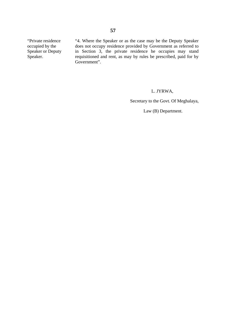"Private residence occupied by the Speaker or Deputy Speaker.

"4. Where the Speaker or as the case may be the Deputy Speaker does not occupy residence provided by Government as referred to in Section 3, the private residence he occupies may stand requisitioned and rent, as may by rules be prescribed, paid for by Government".

#### L. JYRWA,

Secretary to the Govt. Of Meghalaya,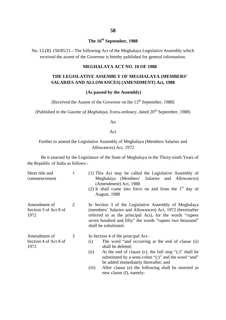## **The 16th September, 1988**

No. LL(B) 150/85/21.- The following Act of the Meghalaya Legislative Assembly which received the assent of the Governor is hereby published for general information.

#### **MEGHALAYA ACT NO. 10 OF 1988**

#### **THE LEGISLATIVE ASSEMBLY OF MEGHALAYA (MEMBERS' SALARIES AND ALLOWANCES) (AMENDMENT) Act, 1988**

#### **(As passed by the Assembly)**

[Received the Assent of the Governor on the 13<sup>th</sup> September, 1988]

(Published in the *Gazette of Meghalaya*, Extra-ordinary, dated 20<sup>th</sup> September, 1988)

An

Act

#### Further to amend the Legislative Assembly of Meghalaya (Members Salaries and Allowances) Act, 1972

Be it enacted by the Legislature of the State of Meghalaya in the Thirty-ninth Years of the Republic of India as follows:-

| Short title and<br>commencement               | 1 | (1) This Act may be called the Legislative Assembly of<br>Meghalaya (Members' Salaries and Allowances)<br>(Amendment) Act, 1988<br>(2) It shall come into force on and from the $1st$ day of<br><b>August, 1988</b>                                                                                                                                                                      |
|-----------------------------------------------|---|------------------------------------------------------------------------------------------------------------------------------------------------------------------------------------------------------------------------------------------------------------------------------------------------------------------------------------------------------------------------------------------|
| Amendment of<br>Section 3 of Act 8 of<br>1972 | 2 | In Section 3 of the Legislative Assembly of Meghalaya<br>(members' Salaries and Allowances) Act, 1972 (hereinafter<br>referred to as the principal Act), for the words "rupees"<br>seven hundred and fifty" the words "rupees two thousand"<br>shall be substituted.                                                                                                                     |
| Amendment of<br>Section 4 of Act 8 of<br>1972 | 3 | In Section 4 of the principal Act-<br>The word "and occurring at the end of clause (ii)<br>(i)<br>shall be deleted;<br>At the end of clause (c), the full stop " $(.)$ " shall be<br>(ii)<br>substituted by a semi-colon " $($ ; " and the word "and"<br>be added immediately thereafter; and<br>After clause (e) the following shall be inserted as<br>(iii)<br>new clause (f), namely- |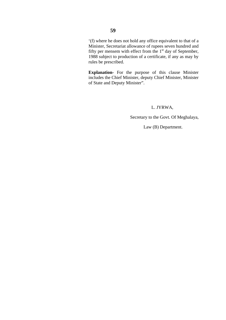'(f) where he does not hold any office equivalent to that of a Minister, Secretariat allowance of rupees seven hundred and fifty per mensem with effect from the  $1<sup>st</sup>$  day of September, 1988 subject to production of a certificate, if any as may by rules be prescribed.

**Explanation-** For the purpose of this clause Minister includes the Chief Minister, deputy Chief Minister, Minister of State and Deputy Minister".

L. JYRWA,

Secretary to the Govt. Of Meghalaya,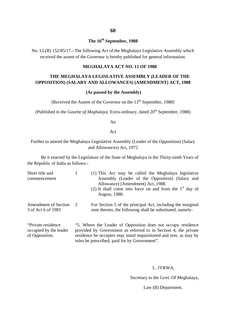## **The 16th September, 1988**

No. LL(B) 152/85/17.- The following Act of the Meghalaya Legislative Assembly which received the assent of the Governor is hereby published for general information.

#### **MEGHALAYA ACT NO. 11 OF 1988**

#### **THE MEGHALAYA LEGISLATIVE ASSEMBLY (LEADER OF THE OPPOSITION) (SALARY AND ALLOWANCES) (AMENDMENT) ACT, 1988**

#### **(As passed by the Assembly)**

[Received the Assent of the Governor on the 13<sup>th</sup> September, 1988]

(Published in the *Gazette of Meghalaya*, Extra-ordinary, dated 20<sup>th</sup> September, 1988)

An

Act

Further to amend the Meghalaya Legislative Assembly (Leader of the Opposition) (Salary and Allowances) Act, 1972

Be it enacted by the Legislature of the State of Meghalaya in the Thirty-ninth Years of the Republic of India as follows:-

| Short title and<br>commencement                   | (1) This Act may be called the Meghalaya legislative<br>Assembly (Leader of the Opposition) (Salary and<br>Allowance) (Amendment) Act, 1988.<br>(2) It shall come into force on and from the $1st$ day of<br>August, 1988. |
|---------------------------------------------------|----------------------------------------------------------------------------------------------------------------------------------------------------------------------------------------------------------------------------|
| <b>Amendment of Section</b><br>3 of Act 6 of 1983 | For Section 5 of the principal Act, including the marginal<br>note thereto, the following shall be substituted, namely-                                                                                                    |

"Private residence occupied by the leader of Opposition. "5. Where the Leader of Opposition does not occupy residence provided by Government as referred to in Section 4, the private residence he occupies may stand requisitioned and rent, as may by rules be prescribed, paid for by Government".

#### L. JYRWA,

Secretary to the Govt. Of Meghalaya,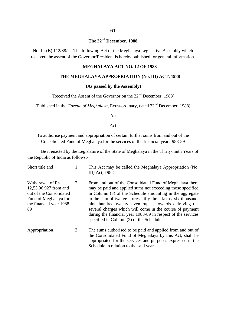## **The 22nd December, 1988**

No. LL(B) 112/88/2.- The following Act of the Meghalaya Legislative Assembly which received the assent of the Governor/President is hereby published for general information.

#### **MEGHALAYA ACT NO. 12 OF 1988**

#### **THE MEGHALAYA APPROPRIATION (No. III) ACT, 1988**

#### **(As passed by the Assembly)**

[Received the Assent of the Governor on the 22<sup>nd</sup> December, 1988]

(Published in the *Gazette of Meghalaya*, Extra-ordinary, dated 22nd December, 1988)

An

Act

To authorise payment and appropriation of certain further sums from and out of the Consolidated Fund of Meghalaya for the services of the financial year 1988-89

Be it enacted by the Legislature of the State of Meghalaya in the Thirty-ninth Years of the Republic of India as follows:-

| Short title and                                                                                                                  |   | This Act may be called the Meghalaya Appropriation (No.<br>III) Act, 1988                                                                                                                                                                                                                                                                                                                                                                                                             |
|----------------------------------------------------------------------------------------------------------------------------------|---|---------------------------------------------------------------------------------------------------------------------------------------------------------------------------------------------------------------------------------------------------------------------------------------------------------------------------------------------------------------------------------------------------------------------------------------------------------------------------------------|
| Withdrawal of Rs.<br>12,53,06,927 from and<br>out of the Consolidated<br>Fund of Meghalaya for<br>the financial year 1988-<br>89 | 2 | From and out of the Consolidated Fund of Meghalaya there<br>may be paid and applied sums not exceeding those specified<br>in Column (3) of the Schedule amounting in the aggregate<br>to the sum of twelve crores, fifty three lakhs, six thousand,<br>nine hundred twenty-seven rupees towards defraying the<br>several charges which will come in the course of payment<br>during the financial year 1988-89 in respect of the services<br>specified in Column (2) of the Schedule. |
| Appropriation                                                                                                                    | 3 | The sums authorised to be paid and applied from and out of<br>the Consolidated Fund of Meghalaya by this Act, shall be<br>appropriated for the services and purposes expressed in the<br>Schedule in relation to the said year.                                                                                                                                                                                                                                                       |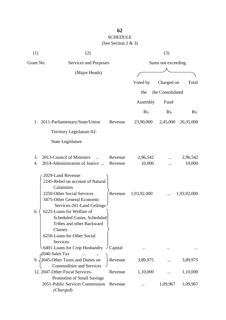## **62** SCHEDULE (See Section 2 & 3)

| (1)       | (2)                                                                                                                                                                                                                                                                                                                  |                    | (3)                |                    |  |  |
|-----------|----------------------------------------------------------------------------------------------------------------------------------------------------------------------------------------------------------------------------------------------------------------------------------------------------------------------|--------------------|--------------------|--------------------|--|--|
| Grant No. | Services and Purposes                                                                                                                                                                                                                                                                                                |                    | Sums not exceeding |                    |  |  |
|           | (Major Heads)                                                                                                                                                                                                                                                                                                        |                    |                    |                    |  |  |
|           |                                                                                                                                                                                                                                                                                                                      | Voted by           | Charged on         | Total              |  |  |
|           |                                                                                                                                                                                                                                                                                                                      |                    |                    |                    |  |  |
|           |                                                                                                                                                                                                                                                                                                                      | the                | the Consolidated   |                    |  |  |
|           |                                                                                                                                                                                                                                                                                                                      | Assembly           | Fund               |                    |  |  |
|           |                                                                                                                                                                                                                                                                                                                      | Rs.                | Rs.                | Rs.                |  |  |
|           | 1. 2011-Parliamentary/State/Union<br>Revenue                                                                                                                                                                                                                                                                         | 23,90,000          | 2,45,000           | 26,35,000          |  |  |
|           | Territory Legislature-02-                                                                                                                                                                                                                                                                                            |                    |                    |                    |  |  |
|           | State Legislature                                                                                                                                                                                                                                                                                                    |                    |                    |                    |  |  |
| 3.<br>4.  | 2013-Council of Ministers<br>Revenue<br>2014-Administration of Justice<br>Revenue                                                                                                                                                                                                                                    | 2,96,542<br>10,000 |                    | 2,96,542<br>10,000 |  |  |
| 6.        | 2029-Land Revenue<br>2245-Relief on account of Natural<br>Calamities<br>2250-Other Social Services<br>Revenue<br>3475-Other General Economic<br>Services-201-Land Ceilings<br>6225-Loans for Welfare of<br><b>Scheduled Castes, Scheduled</b><br>Tribes and other Backward<br>Classes<br>6250-Loans for Other Social | 1,93,92,000        |                    | 1,93,92,000        |  |  |
|           | <b>Services</b><br>6401-Loans for Crop Husbandry<br>Capital                                                                                                                                                                                                                                                          |                    |                    |                    |  |  |
|           | 2040-Sales Tax<br>9. 2045-Other Taxes and Duties on<br>- Revenue<br><b>Commodities and Services</b>                                                                                                                                                                                                                  | 3,89,975           |                    | 3,89,975           |  |  |
|           | 12. 2047-Other Fiscal Services-<br>Revenue                                                                                                                                                                                                                                                                           | 1,10,000           |                    | 1,10,000           |  |  |
|           | Promotion of Small Savings<br>2051-Public Services Commission Revenue<br>(Charged)                                                                                                                                                                                                                                   |                    | 1,09,967           | 1,09,967           |  |  |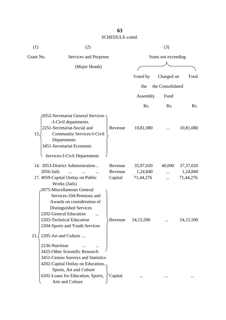| (1)       | (2)                                                                                                                                                                                                                      | (3)<br>Sums not exceeding |                       |                  |                         |
|-----------|--------------------------------------------------------------------------------------------------------------------------------------------------------------------------------------------------------------------------|---------------------------|-----------------------|------------------|-------------------------|
| Grant No. | Services and Purposes<br>(Major Heads)                                                                                                                                                                                   |                           |                       |                  |                         |
|           |                                                                                                                                                                                                                          |                           |                       |                  |                         |
|           |                                                                                                                                                                                                                          |                           | Voted by              | Charged on       | Total                   |
|           |                                                                                                                                                                                                                          |                           |                       |                  |                         |
|           |                                                                                                                                                                                                                          |                           | the                   | the Consolidated |                         |
|           |                                                                                                                                                                                                                          |                           | Assembly              | Fund             |                         |
|           |                                                                                                                                                                                                                          |                           | Rs.                   | Rs.              | Rs.                     |
| 13.       | 2052-Secretariat General Services<br>-I-Civil departments.<br>2251-Secretariat-Social and<br><b>Community Services-I-Civil</b><br>Departments<br>3451-Secretariat Economic<br>Services-I-Civil Departments               | Revenue                   | 10,81,080             |                  | 10,81,080               |
|           | 14. 2053-District Administration                                                                                                                                                                                         | Revenue                   |                       | 40,000           |                         |
|           | 2056-Jails                                                                                                                                                                                                               | Revenue                   | 35,97,020<br>1,24,840 |                  | 37, 37, 020<br>1,24,840 |
|           | 17. 4059-Capital Outlay on Public                                                                                                                                                                                        | Capital                   | 71,44,276             |                  | 71,44,276               |
|           | Works (Jails)<br>2075-Miscellaneous General<br>Services-104-Pensions and<br>Awards on consideration of<br>Distinguished Services<br>2202-General Education<br>2203-Technical Education<br>2204-Sports and Youth Services | Revenue                   | 54,15,500             |                  | 54,15,500               |
| 21        | 2205-Art and Culture                                                                                                                                                                                                     |                           |                       |                  |                         |
|           | 2236-Nutrition                                                                                                                                                                                                           |                           |                       |                  |                         |
|           | 3425-Other Scientific Research<br>3451-Census Surveys and Statistics                                                                                                                                                     |                           |                       |                  |                         |
|           | 4202-Capital Outlay on Education,                                                                                                                                                                                        |                           |                       |                  |                         |
|           | Sports, Art and Culture                                                                                                                                                                                                  |                           |                       |                  |                         |
|           | 6202-Loans for Education, Sports,<br>Arts and Culture                                                                                                                                                                    | Capital                   |                       |                  |                         |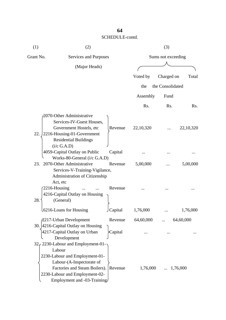| (1)       | (2)                                                                                                                                                                                                           | (3)                   |           |                    |             |  |
|-----------|---------------------------------------------------------------------------------------------------------------------------------------------------------------------------------------------------------------|-----------------------|-----------|--------------------|-------------|--|
| Grant No. |                                                                                                                                                                                                               | Services and Purposes |           | Sums not exceeding |             |  |
|           | (Major Heads)                                                                                                                                                                                                 |                       |           |                    |             |  |
|           |                                                                                                                                                                                                               |                       | Voted by  | Charged on         | Total       |  |
|           |                                                                                                                                                                                                               |                       | the       | the Consolidated   |             |  |
|           |                                                                                                                                                                                                               |                       |           |                    |             |  |
|           |                                                                                                                                                                                                               |                       | Assembly  | Fund               |             |  |
|           |                                                                                                                                                                                                               |                       | Rs.       | Rs.                | Rs.         |  |
| 22.       | 2070-Other Administrative<br>Services-IV-Guest Houses,<br>Government Hostels, etc<br>2216-Housing-01-Government                                                                                               | Revenue               | 22,10,320 |                    | 22, 10, 320 |  |
| 23.       | <b>Residential Buildings</b><br>(i/c G.A.D)<br>4059-Capital Outlay on Public<br>Works-80-General (i/c G.A.D)<br>2070-Other Administrative<br>Services-V-Training-Vigilance,                                   | Capital<br>Revenue    | 5,00,000  |                    | 5,00,000    |  |
| 28.       | Administration of Citizenship<br>Act, etc<br>2216-Housing<br>4216-Capital Outlay on Housing<br>(General)                                                                                                      | Revenue               |           |                    |             |  |
|           | 6216-Loans for Housing                                                                                                                                                                                        | Capital               | 1,76,000  |                    | 1,76,000    |  |
|           | 2217-Urban Development<br>30. 4216-Capital Outlay on Housing<br>4217-Capital Outlay on Urban<br>Development                                                                                                   | Revenue<br>Capital    | 64,60,000 |                    | 64,60,000   |  |
|           | 32, 2230-Labour and Employment-01-<br>Labour<br>2230-Labour and Employment-01-<br>Labour-(A-Inspectorate of<br>Factories and Steam Boilers).<br>2230-Labour and Employment-02-<br>Employment and -03-Training | Revenue               | 1,76,000  |                    | 1,76,000    |  |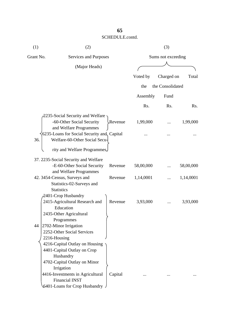| (1)       | (2)                                            |                    |           | (3)              |           |
|-----------|------------------------------------------------|--------------------|-----------|------------------|-----------|
| Grant No. | Services and Purposes                          | Sums not exceeding |           |                  |           |
|           | (Major Heads)                                  |                    |           |                  |           |
|           |                                                |                    | Voted by  | Charged on       | Total     |
|           |                                                |                    | the       | the Consolidated |           |
|           |                                                |                    |           |                  |           |
|           |                                                |                    | Assembly  | Fund             |           |
|           |                                                |                    | Rs.       | Rs.              | Rs.       |
|           | 2235-Social Security and Welfare ·             |                    |           |                  |           |
|           | -60-Other Social Security                      | Revenue            | 1,99,000  |                  | 1,99,000  |
|           | and Welfare Programmes                         |                    |           |                  |           |
|           | 6235-Loans for Social Security and, Capital    |                    |           |                  |           |
| 36.       | Welfare-60-Other Social Secu-                  |                    |           |                  |           |
|           | rity and Welfare Programmes.                   |                    |           |                  |           |
|           | 37. 2235-Social Security and Welfare           |                    |           |                  |           |
|           | -E-60-Other Social Security                    | Revenue            | 58,00,000 |                  | 58,00,000 |
|           | and Welfare Programmes                         |                    |           |                  |           |
|           | 42. 3454-Census, Surveys and                   | Revenue            | 1,14,0001 |                  | 1,14,0001 |
|           | Statistics-02-Surveys and<br><b>Statistics</b> |                    |           |                  |           |
|           | 2401-Crop Husbandry                            |                    |           |                  |           |
|           | 2415-Agricultural Research and                 | Revenue            | 3,93,000  |                  | 3,93,000  |
|           | Education                                      |                    |           |                  |           |
|           | 2435-Other Agricultural                        |                    |           |                  |           |
|           | Programmes                                     |                    |           |                  |           |
| 44        | 2702-Minor Irrigation                          |                    |           |                  |           |
|           | 2252-Other Social Services                     |                    |           |                  |           |
|           | 2216-Housing                                   |                    |           |                  |           |
|           | 4216-Capital Outlay on Housing                 |                    |           |                  |           |
|           | 4401-Capital Outlay on Crop                    |                    |           |                  |           |
|           | Husbandry                                      |                    |           |                  |           |
|           | 4702-Capital Outlay on Minor                   |                    |           |                  |           |
|           | Irrigation                                     |                    |           |                  |           |
|           | 4416-Investments in Agricultural               | Capital            |           |                  |           |
|           | <b>Financial INST</b>                          |                    |           |                  |           |
|           | 6401-Loans for Crop Husbandry                  |                    |           |                  |           |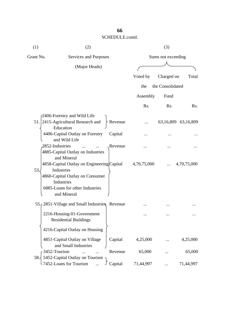| (1)                  | (2)                                                                                                                                                         |         |                    | (3)              |                     |
|----------------------|-------------------------------------------------------------------------------------------------------------------------------------------------------------|---------|--------------------|------------------|---------------------|
| Grant No.            | Services and Purposes                                                                                                                                       |         | Sums not exceeding |                  |                     |
|                      | (Major Heads)                                                                                                                                               |         |                    |                  |                     |
|                      |                                                                                                                                                             |         | Voted by           | Charged on       | Total               |
|                      |                                                                                                                                                             |         | the                | the Consolidated |                     |
|                      |                                                                                                                                                             |         | Assembly           | Fund             |                     |
|                      |                                                                                                                                                             |         | Rs.                | Rs.              | R <sub>s</sub> .    |
|                      | 2406-Forestry and Wild Life                                                                                                                                 |         |                    |                  |                     |
|                      | 51. 2415-Agricultural Research and<br>Education                                                                                                             | Revenue |                    |                  | 63,16,809 63,16,809 |
|                      | 4406-Capital Outlay on Forestry<br>and Wild Life                                                                                                            | Capital |                    |                  |                     |
| 2852-Industries      | $\dddotsc$<br>4885-Capital Outlay on Industries<br>and Mineral                                                                                              | Revenue |                    |                  |                     |
| 53.                  | 4858-Capital Outlay on Engineering Capital<br>Industries<br>4860-Capital Outlay on Consumer<br>Industries<br>6885-Loans for other Industries<br>and Mineral |         | 4,70,75,000        |                  | 4,70,75,000         |
|                      | 55. (2851-Village and Small Industries Revenue                                                                                                              |         |                    |                  |                     |
|                      | 2216-Housing-01-Government<br><b>Residential Buildings</b>                                                                                                  |         |                    |                  |                     |
|                      | 4216-Capital Outlay on Housing                                                                                                                              |         |                    |                  |                     |
|                      | 4851-Capital Outlay on Village<br>and Small Industries                                                                                                      | Capital | 4,25,000           |                  | 4,25,000            |
| 3452-Tourism<br>58.5 | 5452-Capital Outlay on Tourism                                                                                                                              | Revenue | 65,000             |                  | 65,000              |
|                      | -7452-Loans for Tourism                                                                                                                                     | Capital | 71,44,997          |                  | 71,44,997           |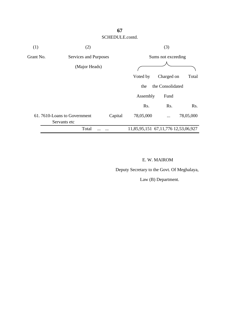

#### E. W. MAIROM

Deputy Secretary to the Govt. Of Meghalaya,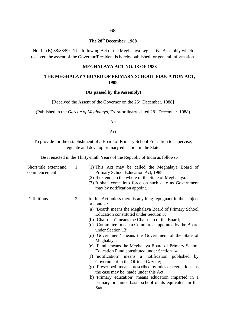## **The 28th December, 1988**

No. LL(B) 88/88/59.- The following Act of the Meghalaya Legislative Assembly which received the assent of the Governor/President is hereby published for general information.

#### **MEGHALAYA ACT NO. 13 OF 1988**

#### **THE MEGHALAYA BOARD OF PRIMARY SCHOOL EDUCATION ACT, 1988**

#### **(As passed by the Assembly)**

[Received the Assent of the Governor on the 25<sup>th</sup> December, 1988]

(Published in the *Gazette of Meghalaya*, Extra-ordinary, dated 28<sup>th</sup> December, 1988)

An

Act

To provide for the establishment of a Board of Primary School Education to supervise, regulate and develop primary education in the State.

Be it enacted in the Thirty-ninth Years of the Republic of India as follows:-

| Short title, extent and<br>commencement | $\mathbf{1}$   | (1) This Act may be called the Meghalaya Board of<br>Primary School Education Act, 1988<br>(2) It extends to the whole of the State of Meghalaya.<br>(3) It shall come into force on such date as Government<br>may by notification appoint.                                                                                                                                                                                                                                                                                                                                                                                                                                                                                                                                                                                                  |
|-----------------------------------------|----------------|-----------------------------------------------------------------------------------------------------------------------------------------------------------------------------------------------------------------------------------------------------------------------------------------------------------------------------------------------------------------------------------------------------------------------------------------------------------------------------------------------------------------------------------------------------------------------------------------------------------------------------------------------------------------------------------------------------------------------------------------------------------------------------------------------------------------------------------------------|
| Definitions                             | $\overline{2}$ | In this Act unless there is anything repugnant in the subject<br>or context:-<br>(a) 'Board' means the Meghalaya Board of Primary School<br>Education constituted under Section 3;<br>(b) 'Chairman' means the Chairman of the Board;<br>(c) 'Committee' mean a Committee appointed by the Board<br>under Section 13;<br>(d) 'Government' means the Government of the State of<br>Meghalaya;<br>(e) 'Fund' means the Meghalaya Board of Primary School<br>Education Fund constituted under Section 14;<br>(f) 'notification' means a notification published by<br>Government in the Official Gazette;<br>(g) 'Prescribed' means prescribed by rules or regulations, as<br>the case may be, made under this Act;<br>(h) 'Primary education' means education imparted in a<br>primary or junior basic school or its equivalent in the<br>State; |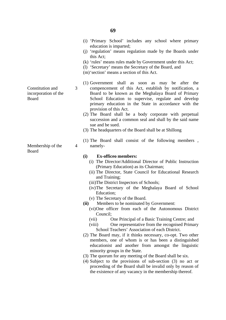- (i) 'Primary School' includes any school where primary education is imparted;
- (j) 'regulation' means regulation made by the Boards under this Act;
- (k) 'rules' means rules made by Government under this Act;
- (l) 'Secretary' means the Secretary of the Board, and
- (m)'section' means a section of this Act.
- (1) Government shall as soon as may be after the compencement of this Act, establish by notification, a Board to be known as the Meghalaya Board of Primary School Education to supervise, regulate and develop primary education in the State in accordance with the provision of this Act.
- (2) The Board shall be a body corporate with perpetual succession and a common seal and shall by the said name sue and be sued.
- (3) The headquarters of the Board shall be at Shillong
- (1) The Board shall consist of the following members , namely-

#### **(i) Ex-officeo members:**

- (i) The Director/Additional Director of Public Instruction (Primary Education) as its Chairman;
- (ii) The Director, State Council for Educational Research and Training;
- (iii)The District Inspectors of Schools;
- (iv)The Secretary of the Meghalaya Board of School Education;
- (v) The Secretary of the Board.
- **(ii)** Members to be nominated by Government:
	- (vi)One officer from each of the Autonomous District Council;
	- (vii) One Principal of a Basic Training Centre; and
	- (viii) One representative from the recognised Primary School Teachers' Association of each District.
- (2) The Board may, if it thinks necessary, co-opt. Two other members, one of whom is or has been a distinguished educationist and another from amongst the linguistic minority groups in the State.
- (3) The quorum for any meeting of the Board shall be six.
- (4) Subject to the provisions of sub-section (3) no act or proceeding of the Board shall be invalid only by reason of the existence of any vacancy in the membership thereof.

Constitution and incorporation of the Board

3

4

Membership of the Board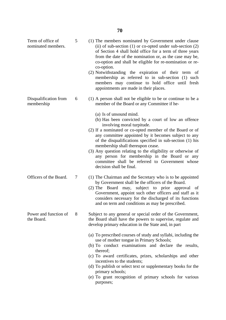| Term of office of<br>nominated members. | 5 | (1) The members nominated by Government under clause<br>(ii) of sub-section $(1)$ or co-opted under sub-section $(2)$<br>of Section 4 shall hold office for a term of three years<br>from the date of the nomination or, as the case may be,<br>co-option and shall be eligible for re-nomination or re-<br>co-option.<br>(2) Notwithstanding the expiration of their term<br>of |
|-----------------------------------------|---|----------------------------------------------------------------------------------------------------------------------------------------------------------------------------------------------------------------------------------------------------------------------------------------------------------------------------------------------------------------------------------|
|                                         |   | membership as referred to in sub-section (1) such<br>members may continue to hold office until fresh<br>appointments are made in their places.                                                                                                                                                                                                                                   |
| Disqualification from<br>membership     | 6 | (1) A person shall not be eligible to be or continue to be a<br>member of the Board or any Committee if he-                                                                                                                                                                                                                                                                      |
|                                         |   | (a) Is of unsound mind.<br>(b) Has been convicted by a court of low an offence                                                                                                                                                                                                                                                                                                   |
|                                         |   | involving moral turpitude.                                                                                                                                                                                                                                                                                                                                                       |
|                                         |   | (2) If a nominated or co-opted member of the Board or of<br>any committee appointed by it becomes subject to any<br>of the disqualifications specified in sub-section (1) his<br>membership shall thereupon cease.                                                                                                                                                               |
|                                         |   | (3) Any question relating to the eligibility or otherwise of<br>any person for membership in the Board or any<br>committee shall be referred to Government whose<br>decision shall be final.                                                                                                                                                                                     |
| Officers of the Board.                  | 7 | (1) The Chairman and the Secretary who is to be appointed<br>by Government shall be the officers of the Board.<br>$(2)$ The Board<br>may, subject to prior approval<br>- of<br>Government, appoint such other officers and staff as it<br>considers necessary for the discharged of its functions<br>and on term and conditions as may be prescribed.                            |
| Power and function of<br>the Board.     | 8 | Subject to any general or special order of the Government,<br>the Board shall have the powers to supervise, regulate and<br>develop primary education in the State and, in part                                                                                                                                                                                                  |
|                                         |   | (a) To prescribed courses of study and syllabi, including the<br>use of mother tongue in Primary Schools;<br>(b) To conduct examinations and declare the results,                                                                                                                                                                                                                |
|                                         |   | thereof;<br>(c) To award certificates, prizes, scholarships and other<br>incentives to the students;                                                                                                                                                                                                                                                                             |
|                                         |   | (d) To publish or select text or supplementary books for the<br>primary schools;<br>(e) To grant recognition of primary schools for various                                                                                                                                                                                                                                      |
|                                         |   | purposes;                                                                                                                                                                                                                                                                                                                                                                        |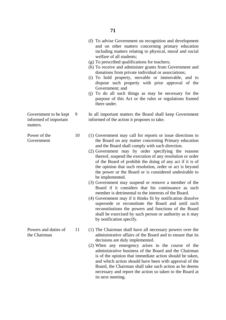|                                                            |    | (f) To advise Government on recognition and development<br>and on other matters concerning primary education<br>including matters relating to physical, moral and social<br>welfare of all students;<br>(g) To prescribed qualifications for teachers;<br>(h) To receive and administer grants from Government and<br>donations from private individual or associations;<br>(i) To hold property, movable or immovable, and to<br>dispose such property with prior approval of the<br>Government; and<br>(j) To do all such things as may be necessary for the<br>purpose of this Act or the rules or regulations framed<br>there under.                                                                                                                                                                                                                                                                                                    |
|------------------------------------------------------------|----|---------------------------------------------------------------------------------------------------------------------------------------------------------------------------------------------------------------------------------------------------------------------------------------------------------------------------------------------------------------------------------------------------------------------------------------------------------------------------------------------------------------------------------------------------------------------------------------------------------------------------------------------------------------------------------------------------------------------------------------------------------------------------------------------------------------------------------------------------------------------------------------------------------------------------------------------|
| Government to be kept<br>informed of important<br>matters. | 9  | In all important matters the Board shall keep Government<br>informed of the action it proposes to take.                                                                                                                                                                                                                                                                                                                                                                                                                                                                                                                                                                                                                                                                                                                                                                                                                                     |
| Power of the<br>Government                                 | 10 | (1) Government may call for reports or issue directions to<br>the Board on any matter concerning Primary education<br>and the Board shall comply with such direction.<br>(2) Government may by order specifying the reasons<br>thereof, suspend the execution of any resolution or order<br>of the Board of prohibit the doing of any act if it is of<br>the opinion that such resolution, order or act is beyond<br>the power or the Board or is considered undesirable to<br>be implemented.<br>(3) Government may suspend or remove a member of the<br>Board if it considers that his continuance as such<br>member is detrimental to the interests of the Board.<br>(4) Government may if it thinks fit by notification dissolve<br>supersede or reconstitute the Board and until such<br>reconstitutions the powers and functions of the Board<br>shall be exercised by such person or authority as it may<br>by notification specify. |
| Powers and duties of<br>the Chairman                       | 11 | (1) The Chairman shall have all necessary powers over the<br>administrative affairs of the Board and to ensure that its<br>decisions are duly implemented.<br>(2) When any emergency arises in the course of the<br>administrative business of the Board and the Chairman<br>is of the opinion that immediate action should be taken,<br>and which action should have been with approval of the<br>Board, the Chairman shall take such action as be deems<br>necessary and report the action so taken to the Board at<br>its next meeting.                                                                                                                                                                                                                                                                                                                                                                                                  |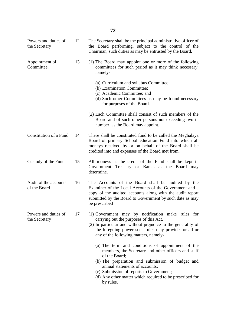| Powers and duties of<br>the Secretary | 12 | The Secretary shall be the principal administrative officer of<br>the Board performing, subject to the control of the<br>Chairman, such duties as may be entrusted by the Board.                                                                              |
|---------------------------------------|----|---------------------------------------------------------------------------------------------------------------------------------------------------------------------------------------------------------------------------------------------------------------|
| Appointment of<br>Committee.          | 13 | (1) The Board may appoint one or more of the following<br>committees for such period as it may think necessary,<br>namely-                                                                                                                                    |
|                                       |    | (a) Curriculum and syllabus Committee;<br>(b) Examination Committee;<br>(c) Academic Committee; and<br>(d) Such other Committees as may be found necessary<br>for purposes of the Board.                                                                      |
|                                       |    | (2) Each Committee shall consist of such members of the<br>Board and of such other persons not exceeding two in<br>number, as the Board may appoint.                                                                                                          |
| Constitution of a Fund                | 14 | There shall be constituted fund to be called the Meghalaya<br>Board of primary School education Fund into which all<br>moneys received by or on behalf of the Board shall be<br>credited into and expenses of the Board met from.                             |
| Custody of the Fund                   | 15 | All moneys at the credit of the Fund shall be kept in<br>Government Treasury or Banks as the Board may<br>determine.                                                                                                                                          |
| Audit of the accounts<br>of the Board | 16 | The Accounts of the Board shall be audited by the<br>Examiner of the Local Accounts of the Government and a<br>copy of the audited accounts along with the audit report<br>submitted by the Board to Government by such date as may<br>be prescribed          |
| Powers and duties of<br>the Secretary | 17 | (1) Government may by notification make rules for<br>carrying out the purposes of this Act.<br>(2) In particular and without prejudice to the generality of<br>the foregoing power such rules may provide for all or<br>any of the following matters, namely- |
|                                       |    | (a) The term and conditions of appointment of the<br>members, the Secretary and other officers and staff<br>of the Board;<br>(b) The preparation and submission of budget and<br>annual statements of accounts;<br>(c) Submission of reports to Government;   |
|                                       |    | (d) Any other matter which required to be prescribed for<br>by rules.                                                                                                                                                                                         |